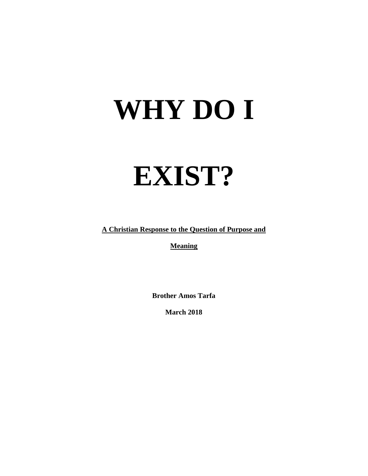# **WHY DO I**

# **EXIST?**

**A Christian Response to the Question of Purpose and** 

**Meaning**

**Brother Amos Tarfa**

**March 2018**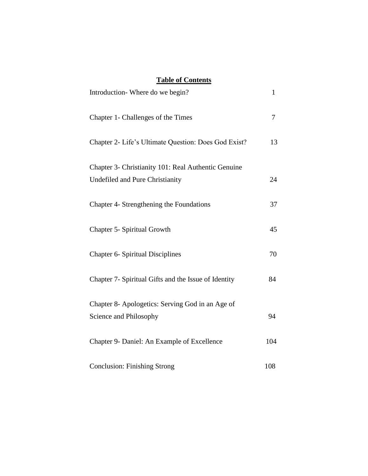## **Table of Contents**

| Introduction-Where do we begin?                                                        | $\mathbf{1}$ |
|----------------------------------------------------------------------------------------|--------------|
| Chapter 1- Challenges of the Times                                                     | 7            |
| Chapter 2- Life's Ultimate Question: Does God Exist?                                   | 13           |
| Chapter 3- Christianity 101: Real Authentic Genuine<br>Undefiled and Pure Christianity | 24           |
| Chapter 4- Strengthening the Foundations                                               | 37           |
| Chapter 5- Spiritual Growth                                                            | 45           |
| <b>Chapter 6- Spiritual Disciplines</b>                                                | 70           |
| Chapter 7- Spiritual Gifts and the Issue of Identity                                   | 84           |
| Chapter 8- Apologetics: Serving God in an Age of<br>Science and Philosophy             | 94           |
| Chapter 9- Daniel: An Example of Excellence                                            | 104          |
| <b>Conclusion: Finishing Strong</b>                                                    | 108          |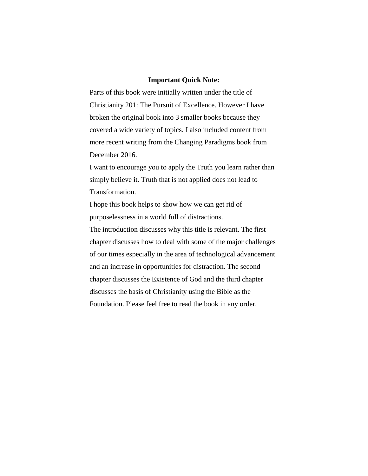### **Important Quick Note:**

Parts of this book were initially written under the title of Christianity 201: The Pursuit of Excellence. However I have broken the original book into 3 smaller books because they covered a wide variety of topics. I also included content from more recent writing from the Changing Paradigms book from December 2016.

I want to encourage you to apply the Truth you learn rather than simply believe it. Truth that is not applied does not lead to Transformation.

I hope this book helps to show how we can get rid of purposelessness in a world full of distractions.

The introduction discusses why this title is relevant. The first chapter discusses how to deal with some of the major challenges of our times especially in the area of technological advancement and an increase in opportunities for distraction. The second chapter discusses the Existence of God and the third chapter discusses the basis of Christianity using the Bible as the Foundation. Please feel free to read the book in any order.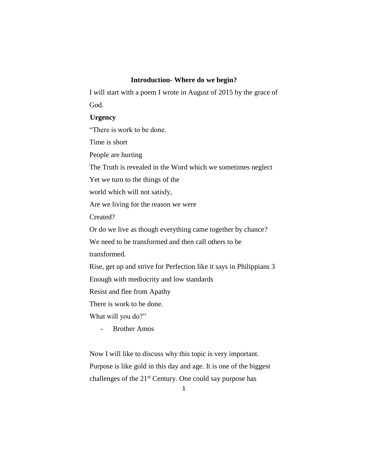## **Introduction- Where do we begin?**

I will start with a poem I wrote in August of 2015 by the grace of God.

## **Urgency**

"There is work to be done.

Time is short

People are hurting

The Truth is revealed in the Word which we sometimes neglect

Yet we turn to the things of the

world which will not satisfy,

Are we living for the reason we were

Created?

Or do we live as though everything came together by chance?

We need to be transformed and then call others to be

transformed.

Rise, get up and strive for Perfection like it says in Philippians 3

Enough with mediocrity and low standards

Resist and flee from Apathy

There is work to be done.

What will you do?"

- Brother Amos

Now I will like to discuss why this topic is very important. Purpose is like gold in this day and age. It is one of the biggest challenges of the 21<sup>st</sup> Century. One could say purpose has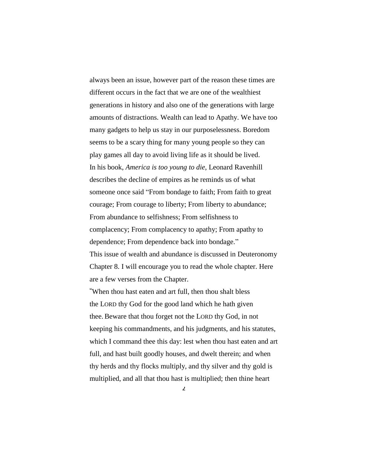always been an issue, however part of the reason these times are different occurs in the fact that we are one of the wealthiest generations in history and also one of the generations with large amounts of distractions. Wealth can lead to Apathy. We have too many gadgets to help us stay in our purposelessness. Boredom seems to be a scary thing for many young people so they can play games all day to avoid living life as it should be lived. In his book, *America is too young to die*, Leonard Ravenhill describes the decline of empires as he reminds us of what someone once said "From bondage to faith; From faith to great courage; From courage to liberty; From liberty to abundance; From abundance to selfishness; From selfishness to complacency; From complacency to apathy; From apathy to dependence; From dependence back into bondage." This issue of wealth and abundance is discussed in Deuteronomy Chapter 8. I will encourage you to read the whole chapter. Here are a few verses from the Chapter.

**"**When thou hast eaten and art full, then thou shalt bless the LORD thy God for the good land which he hath given thee. Beware that thou forget not the LORD thy God, in not keeping his commandments, and his judgments, and his statutes, which I command thee this day: lest when thou hast eaten and art full, and hast built goodly houses, and dwelt therein; and when thy herds and thy flocks multiply, and thy silver and thy gold is multiplied, and all that thou hast is multiplied; then thine heart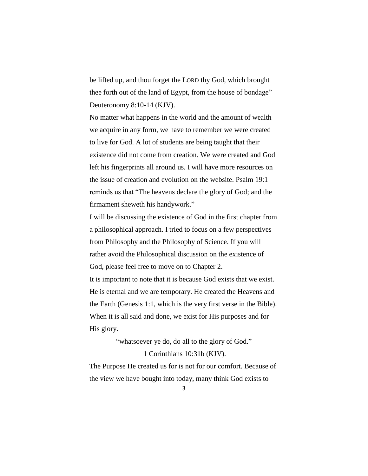be lifted up, and thou forget the LORD thy God, which brought thee forth out of the land of Egypt, from the house of bondage" Deuteronomy 8:10-14 (KJV).

No matter what happens in the world and the amount of wealth we acquire in any form, we have to remember we were created to live for God. A lot of students are being taught that their existence did not come from creation. We were created and God left his fingerprints all around us. I will have more resources on the issue of creation and evolution on the website. Psalm 19:1 reminds us that "The heavens declare the glory of God; and the firmament sheweth his handywork."

I will be discussing the existence of God in the first chapter from a philosophical approach. I tried to focus on a few perspectives from Philosophy and the Philosophy of Science. If you will rather avoid the Philosophical discussion on the existence of God, please feel free to move on to Chapter 2. It is important to note that it is because God exists that we exist.

He is eternal and we are temporary. He created the Heavens and the Earth (Genesis 1:1, which is the very first verse in the Bible). When it is all said and done, we exist for His purposes and for His glory.

"whatsoever ye do, do all to the glory of God."

## 1 Corinthians 10:31b (KJV).

The Purpose He created us for is not for our comfort. Because of the view we have bought into today, many think God exists to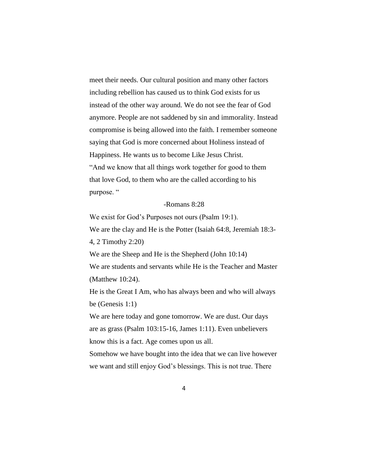meet their needs. Our cultural position and many other factors including rebellion has caused us to think God exists for us instead of the other way around. We do not see the fear of God anymore. People are not saddened by sin and immorality. Instead compromise is being allowed into the faith. I remember someone saying that God is more concerned about Holiness instead of Happiness. He wants us to become Like Jesus Christ. "And we know that all things work together for good to them that love God, to them who are the called according to his purpose. "

#### -Romans 8:28

We exist for God's Purposes not ours (Psalm 19:1). We are the clay and He is the Potter (Isaiah 64:8, Jeremiah 18:3- 4, 2 Timothy 2:20)

We are the Sheep and He is the Shepherd (John 10:14)

We are students and servants while He is the Teacher and Master (Matthew 10:24).

He is the Great I Am, who has always been and who will always be (Genesis 1:1)

We are here today and gone tomorrow. We are dust. Our days are as grass (Psalm 103:15-16, James 1:11). Even unbelievers know this is a fact. Age comes upon us all.

Somehow we have bought into the idea that we can live however we want and still enjoy God's blessings. This is not true. There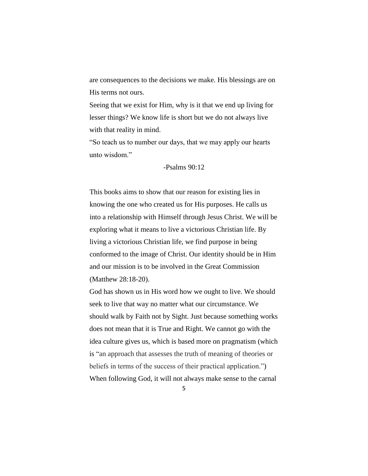are consequences to the decisions we make. His blessings are on His terms not ours.

Seeing that we exist for Him, why is it that we end up living for lesser things? We know life is short but we do not always live with that reality in mind.

"So teach us to number our days, that we may apply our hearts unto wisdom."

## -Psalms 90:12

This books aims to show that our reason for existing lies in knowing the one who created us for His purposes. He calls us into a relationship with Himself through Jesus Christ. We will be exploring what it means to live a victorious Christian life. By living a victorious Christian life, we find purpose in being conformed to the image of Christ. Our identity should be in Him and our mission is to be involved in the Great Commission (Matthew 28:18-20).

God has shown us in His word how we ought to live. We should seek to live that way no matter what our circumstance. We should walk by Faith not by Sight. Just because something works does not mean that it is True and Right. We cannot go with the idea culture gives us, which is based more on pragmatism (which is "an approach that assesses the truth of meaning of theories or beliefs in terms of the success of their practical application.") When following God, it will not always make sense to the carnal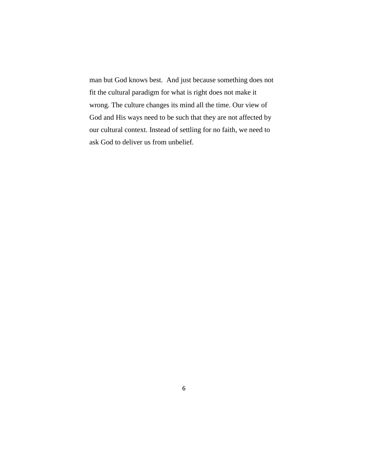man but God knows best. And just because something does not fit the cultural paradigm for what is right does not make it wrong. The culture changes its mind all the time. Our view of God and His ways need to be such that they are not affected by our cultural context. Instead of settling for no faith, we need to ask God to deliver us from unbelief.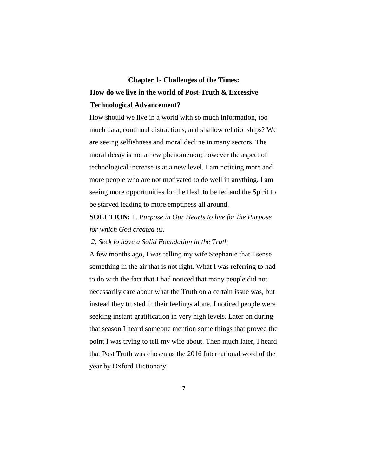# **Chapter 1- Challenges of the Times: How do we live in the world of Post-Truth & Excessive Technological Advancement?**

How should we live in a world with so much information, too much data, continual distractions, and shallow relationships? We are seeing selfishness and moral decline in many sectors. The moral decay is not a new phenomenon; however the aspect of technological increase is at a new level. I am noticing more and more people who are not motivated to do well in anything. I am seeing more opportunities for the flesh to be fed and the Spirit to be starved leading to more emptiness all around.

# **SOLUTION:** 1. *Purpose in Our Hearts to live for the Purpose for which God created us.*

## *2. Seek to have a Solid Foundation in the Truth*

A few months ago, I was telling my wife Stephanie that I sense something in the air that is not right. What I was referring to had to do with the fact that I had noticed that many people did not necessarily care about what the Truth on a certain issue was, but instead they trusted in their feelings alone. I noticed people were seeking instant gratification in very high levels. Later on during that season I heard someone mention some things that proved the point I was trying to tell my wife about. Then much later, I heard that Post Truth was chosen as the 2016 International word of the year by Oxford Dictionary.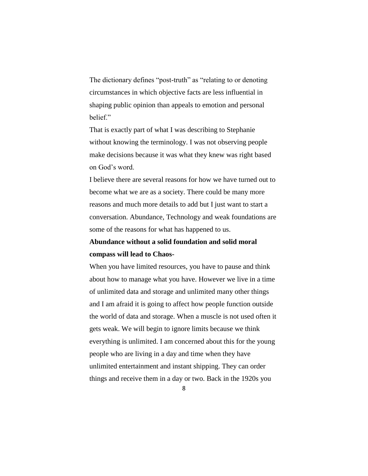The dictionary defines "post-truth" as "relating to or denoting circumstances in which objective facts are less influential in shaping public opinion than appeals to emotion and personal belief."

That is exactly part of what I was describing to Stephanie without knowing the terminology. I was not observing people make decisions because it was what they knew was right based on God's word.

I believe there are several reasons for how we have turned out to become what we are as a society. There could be many more reasons and much more details to add but I just want to start a conversation. Abundance, Technology and weak foundations are some of the reasons for what has happened to us.

# **Abundance without a solid foundation and solid moral compass will lead to Chaos-**

When you have limited resources, you have to pause and think about how to manage what you have. However we live in a time of unlimited data and storage and unlimited many other things and I am afraid it is going to affect how people function outside the world of data and storage. When a muscle is not used often it gets weak. We will begin to ignore limits because we think everything is unlimited. I am concerned about this for the young people who are living in a day and time when they have unlimited entertainment and instant shipping. They can order things and receive them in a day or two. Back in the 1920s you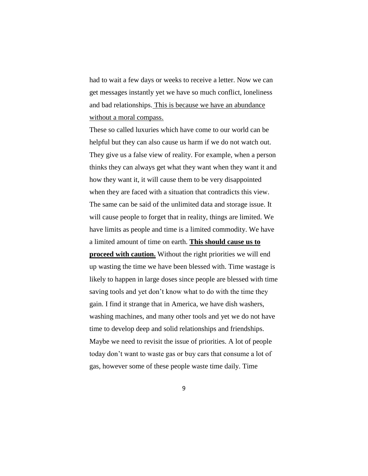had to wait a few days or weeks to receive a letter. Now we can get messages instantly yet we have so much conflict, loneliness and bad relationships. This is because we have an abundance without a moral compass.

These so called luxuries which have come to our world can be helpful but they can also cause us harm if we do not watch out. They give us a false view of reality. For example, when a person thinks they can always get what they want when they want it and how they want it, it will cause them to be very disappointed when they are faced with a situation that contradicts this view. The same can be said of the unlimited data and storage issue. It will cause people to forget that in reality, things are limited. We have limits as people and time is a limited commodity. We have a limited amount of time on earth. **This should cause us to proceed with caution.** Without the right priorities we will end up wasting the time we have been blessed with. Time wastage is likely to happen in large doses since people are blessed with time saving tools and yet don't know what to do with the time they gain. I find it strange that in America, we have dish washers, washing machines, and many other tools and yet we do not have time to develop deep and solid relationships and friendships. Maybe we need to revisit the issue of priorities. A lot of people today don't want to waste gas or buy cars that consume a lot of gas, however some of these people waste time daily. Time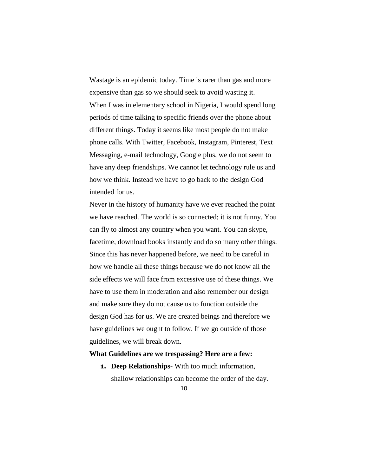Wastage is an epidemic today. Time is rarer than gas and more expensive than gas so we should seek to avoid wasting it. When I was in elementary school in Nigeria, I would spend long periods of time talking to specific friends over the phone about different things. Today it seems like most people do not make phone calls. With Twitter, Facebook, Instagram, Pinterest, Text Messaging, e-mail technology, Google plus, we do not seem to have any deep friendships. We cannot let technology rule us and how we think. Instead we have to go back to the design God intended for us.

Never in the history of humanity have we ever reached the point we have reached. The world is so connected; it is not funny. You can fly to almost any country when you want. You can skype, facetime, download books instantly and do so many other things. Since this has never happened before, we need to be careful in how we handle all these things because we do not know all the side effects we will face from excessive use of these things. We have to use them in moderation and also remember our design and make sure they do not cause us to function outside the design God has for us. We are created beings and therefore we have guidelines we ought to follow. If we go outside of those guidelines, we will break down.

### **What Guidelines are we trespassing? Here are a few:**

**1. Deep Relationships-** With too much information, shallow relationships can become the order of the day.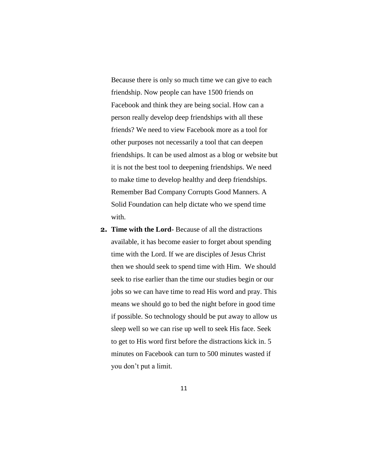Because there is only so much time we can give to each friendship. Now people can have 1500 friends on Facebook and think they are being social. How can a person really develop deep friendships with all these friends? We need to view Facebook more as a tool for other purposes not necessarily a tool that can deepen friendships. It can be used almost as a blog or website but it is not the best tool to deepening friendships. We need to make time to develop healthy and deep friendships. Remember Bad Company Corrupts Good Manners. A Solid Foundation can help dictate who we spend time with.

**2. Time with the Lord-** Because of all the distractions available, it has become easier to forget about spending time with the Lord. If we are disciples of Jesus Christ then we should seek to spend time with Him. We should seek to rise earlier than the time our studies begin or our jobs so we can have time to read His word and pray. This means we should go to bed the night before in good time if possible. So technology should be put away to allow us sleep well so we can rise up well to seek His face. Seek to get to His word first before the distractions kick in. 5 minutes on Facebook can turn to 500 minutes wasted if you don't put a limit.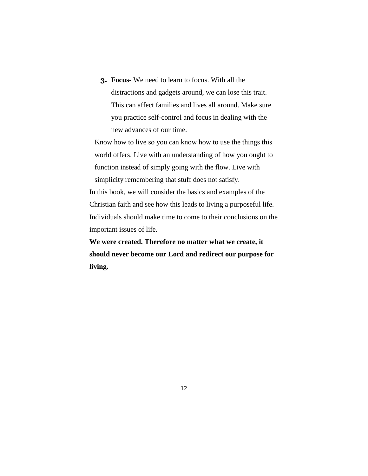**3. Focus-** We need to learn to focus. With all the distractions and gadgets around, we can lose this trait. This can affect families and lives all around. Make sure you practice self-control and focus in dealing with the new advances of our time.

Know how to live so you can know how to use the things this world offers. Live with an understanding of how you ought to function instead of simply going with the flow. Live with simplicity remembering that stuff does not satisfy. In this book, we will consider the basics and examples of the Christian faith and see how this leads to living a purposeful life.

Individuals should make time to come to their conclusions on the important issues of life.

**We were created. Therefore no matter what we create, it should never become our Lord and redirect our purpose for living.**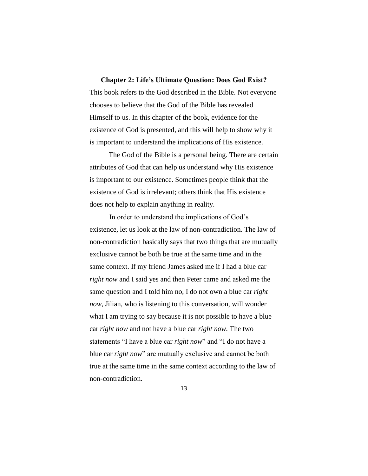#### **Chapter 2: Life's Ultimate Question: Does God Exist?**

This book refers to the God described in the Bible. Not everyone chooses to believe that the God of the Bible has revealed Himself to us. In this chapter of the book, evidence for the existence of God is presented, and this will help to show why it is important to understand the implications of His existence.

The God of the Bible is a personal being. There are certain attributes of God that can help us understand why His existence is important to our existence. Sometimes people think that the existence of God is irrelevant; others think that His existence does not help to explain anything in reality.

In order to understand the implications of God's existence, let us look at the law of non-contradiction. The law of non-contradiction basically says that two things that are mutually exclusive cannot be both be true at the same time and in the same context. If my friend James asked me if I had a blue car *right now* and I said yes and then Peter came and asked me the same question and I told him no, I do not own a blue car *right now*, Jilian, who is listening to this conversation, will wonder what I am trying to say because it is not possible to have a blue car *right now* and not have a blue car *right now.* The two statements "I have a blue car *right now*" and "I do not have a blue car *right now*" are mutually exclusive and cannot be both true at the same time in the same context according to the law of non-contradiction.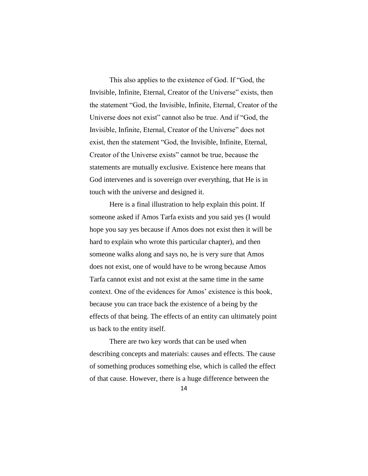This also applies to the existence of God. If "God, the Invisible, Infinite, Eternal, Creator of the Universe" exists, then the statement "God, the Invisible, Infinite, Eternal, Creator of the Universe does not exist" cannot also be true. And if "God, the Invisible, Infinite, Eternal, Creator of the Universe" does not exist, then the statement "God, the Invisible, Infinite, Eternal, Creator of the Universe exists" cannot be true, because the statements are mutually exclusive. Existence here means that God intervenes and is sovereign over everything, that He is in touch with the universe and designed it.

Here is a final illustration to help explain this point. If someone asked if Amos Tarfa exists and you said yes (I would hope you say yes because if Amos does not exist then it will be hard to explain who wrote this particular chapter), and then someone walks along and says no, he is very sure that Amos does not exist, one of would have to be wrong because Amos Tarfa cannot exist and not exist at the same time in the same context. One of the evidences for Amos' existence is this book, because you can trace back the existence of a being by the effects of that being. The effects of an entity can ultimately point us back to the entity itself.

There are two key words that can be used when describing concepts and materials: causes and effects. The cause of something produces something else, which is called the effect of that cause. However, there is a huge difference between the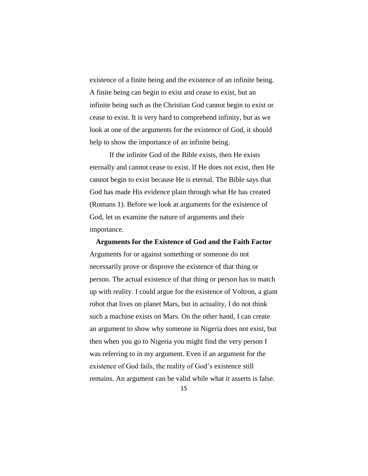existence of a finite being and the existence of an infinite being. A finite being can begin to exist and cease to exist, but an infinite being such as the Christian God cannot begin to exist or cease to exist. It is very hard to comprehend infinity, but as we look at one of the arguments for the existence of God, it should help to show the importance of an infinite being.

If the infinite God of the Bible exists, then He exists eternally and cannot cease to exist. If He does not exist, then He cannot begin to exist because He is eternal. The Bible says that God has made His evidence plain through what He has created (Romans 1). Before we look at arguments for the existence of God, let us examine the nature of arguments and their importance.

**Arguments for the Existence of God and the Faith Factor** Arguments for or against something or someone do not necessarily prove or disprove the existence of that thing or person. The actual existence of that thing or person has to match up with reality. I could argue for the existence of Voltron, a giant robot that lives on planet Mars, but in actuality, I do not think such a machine exists on Mars. On the other hand, I can create an argument to show why someone in Nigeria does not exist, but then when you go to Nigeria you might find the very person I was referring to in my argument. Even if an argument for the existence of God fails, the reality of God's existence still remains. An argument can be valid while what it asserts is false.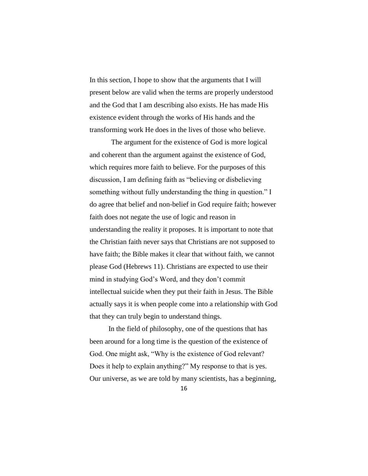In this section, I hope to show that the arguments that I will present below are valid when the terms are properly understood and the God that I am describing also exists. He has made His existence evident through the works of His hands and the transforming work He does in the lives of those who believe.

The argument for the existence of God is more logical and coherent than the argument against the existence of God, which requires more faith to believe. For the purposes of this discussion, I am defining faith as "believing or disbelieving something without fully understanding the thing in question." I do agree that belief and non-belief in God require faith; however faith does not negate the use of logic and reason in understanding the reality it proposes. It is important to note that the Christian faith never says that Christians are not supposed to have faith; the Bible makes it clear that without faith, we cannot please God (Hebrews 11). Christians are expected to use their mind in studying God's Word, and they don't commit intellectual suicide when they put their faith in Jesus. The Bible actually says it is when people come into a relationship with God that they can truly begin to understand things.

In the field of philosophy, one of the questions that has been around for a long time is the question of the existence of God. One might ask, "Why is the existence of God relevant? Does it help to explain anything?" My response to that is yes. Our universe, as we are told by many scientists, has a beginning,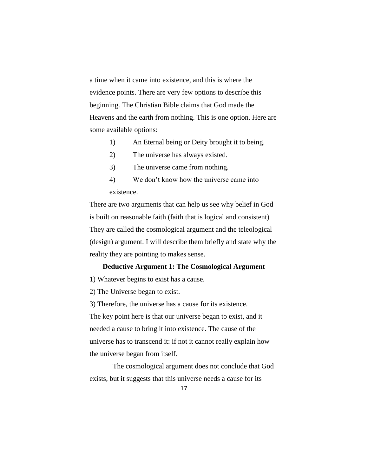a time when it came into existence, and this is where the evidence points. There are very few options to describe this beginning. The Christian Bible claims that God made the Heavens and the earth from nothing. This is one option. Here are some available options:

- 1) An Eternal being or Deity brought it to being.
- 2) The universe has always existed.
- 3) The universe came from nothing.
- 4) We don't know how the universe came into existence.

There are two arguments that can help us see why belief in God is built on reasonable faith (faith that is logical and consistent) They are called the cosmological argument and the teleological (design) argument. I will describe them briefly and state why the reality they are pointing to makes sense.

#### **Deductive Argument 1: The Cosmological Argument**

1) Whatever begins to exist has a cause.

2) The Universe began to exist.

3) Therefore, the universe has a cause for its existence. The key point here is that our universe began to exist, and it needed a cause to bring it into existence. The cause of the universe has to transcend it: if not it cannot really explain how the universe began from itself.

The cosmological argument does not conclude that God exists, but it suggests that this universe needs a cause for its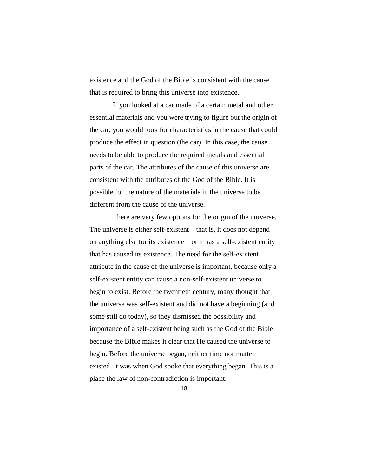existence and the God of the Bible is consistent with the cause that is required to bring this universe into existence.

If you looked at a car made of a certain metal and other essential materials and you were trying to figure out the origin of the car, you would look for characteristics in the cause that could produce the effect in question (the car). In this case, the cause needs to be able to produce the required metals and essential parts of the car. The attributes of the cause of this universe are consistent with the attributes of the God of the Bible. It is possible for the nature of the materials in the universe to be different from the cause of the universe.

There are very few options for the origin of the universe. The universe is either self-existent—that is, it does not depend on anything else for its existence—or it has a self-existent entity that has caused its existence. The need for the self-existent attribute in the cause of the universe is important, because only a self-existent entity can cause a non-self-existent universe to begin to exist. Before the twentieth century, many thought that the universe was self-existent and did not have a beginning (and some still do today), so they dismissed the possibility and importance of a self-existent being such as the God of the Bible because the Bible makes it clear that He caused the universe to begin. Before the universe began, neither time nor matter existed. It was when God spoke that everything began. This is a place the law of non-contradiction is important.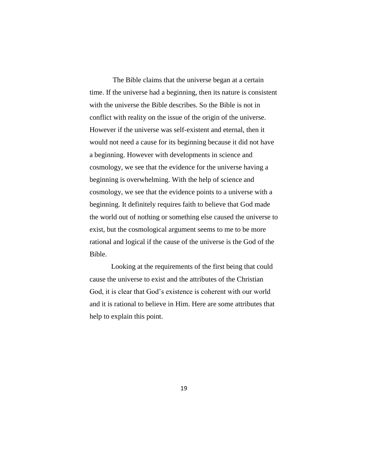The Bible claims that the universe began at a certain time. If the universe had a beginning, then its nature is consistent with the universe the Bible describes. So the Bible is not in conflict with reality on the issue of the origin of the universe. However if the universe was self-existent and eternal, then it would not need a cause for its beginning because it did not have a beginning. However with developments in science and cosmology, we see that the evidence for the universe having a beginning is overwhelming. With the help of science and cosmology, we see that the evidence points to a universe with a beginning. It definitely requires faith to believe that God made the world out of nothing or something else caused the universe to exist, but the cosmological argument seems to me to be more rational and logical if the cause of the universe is the God of the Bible.

Looking at the requirements of the first being that could cause the universe to exist and the attributes of the Christian God, it is clear that God's existence is coherent with our world and it is rational to believe in Him. Here are some attributes that help to explain this point.

19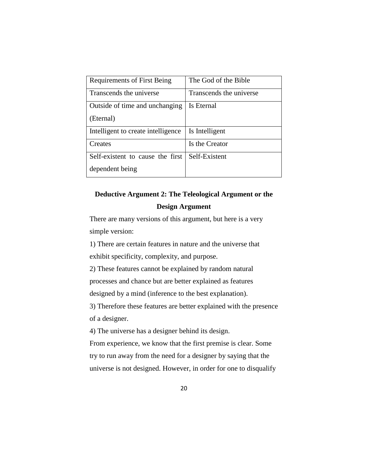| <b>Requirements of First Being</b> | The God of the Bible    |
|------------------------------------|-------------------------|
| Transcends the universe            | Transcends the universe |
| Outside of time and unchanging     | Is Eternal              |
| (Eternal)                          |                         |
| Intelligent to create intelligence | Is Intelligent          |
| Creates                            | Is the Creator          |
| Self-existent to cause the first   | Self-Existent           |
| dependent being                    |                         |

# **Deductive Argument 2: The Teleological Argument or the Design Argument**

There are many versions of this argument, but here is a very simple version:

1) There are certain features in nature and the universe that exhibit specificity, complexity, and purpose.

2) These features cannot be explained by random natural

processes and chance but are better explained as features

designed by a mind (inference to the best explanation).

3) Therefore these features are better explained with the presence of a designer.

4) The universe has a designer behind its design.

From experience, we know that the first premise is clear. Some try to run away from the need for a designer by saying that the universe is not designed. However, in order for one to disqualify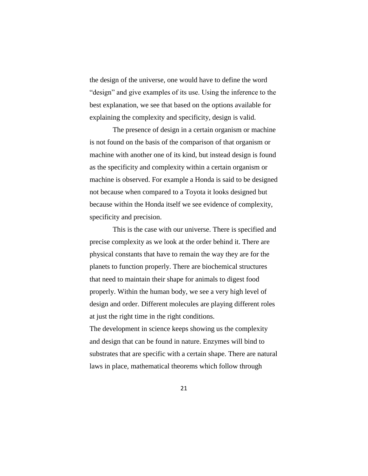the design of the universe, one would have to define the word "design" and give examples of its use. Using the inference to the best explanation, we see that based on the options available for explaining the complexity and specificity, design is valid.

The presence of design in a certain organism or machine is not found on the basis of the comparison of that organism or machine with another one of its kind, but instead design is found as the specificity and complexity within a certain organism or machine is observed. For example a Honda is said to be designed not because when compared to a Toyota it looks designed but because within the Honda itself we see evidence of complexity, specificity and precision.

This is the case with our universe. There is specified and precise complexity as we look at the order behind it. There are physical constants that have to remain the way they are for the planets to function properly. There are biochemical structures that need to maintain their shape for animals to digest food properly. Within the human body, we see a very high level of design and order. Different molecules are playing different roles at just the right time in the right conditions.

The development in science keeps showing us the complexity and design that can be found in nature. Enzymes will bind to substrates that are specific with a certain shape. There are natural laws in place, mathematical theorems which follow through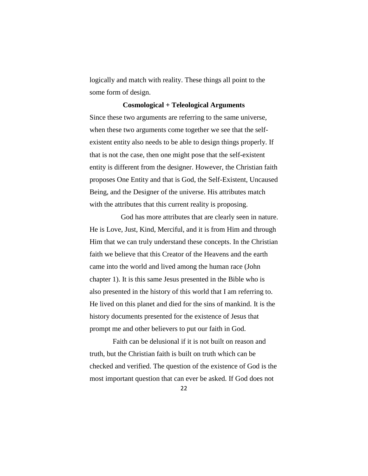logically and match with reality. These things all point to the some form of design.

#### **Cosmological + Teleological Arguments**

Since these two arguments are referring to the same universe, when these two arguments come together we see that the selfexistent entity also needs to be able to design things properly. If that is not the case, then one might pose that the self-existent entity is different from the designer. However, the Christian faith proposes One Entity and that is God, the Self-Existent, Uncaused Being, and the Designer of the universe. His attributes match with the attributes that this current reality is proposing.

God has more attributes that are clearly seen in nature. He is Love, Just, Kind, Merciful, and it is from Him and through Him that we can truly understand these concepts. In the Christian faith we believe that this Creator of the Heavens and the earth came into the world and lived among the human race (John chapter 1). It is this same Jesus presented in the Bible who is also presented in the history of this world that I am referring to. He lived on this planet and died for the sins of mankind. It is the history documents presented for the existence of Jesus that prompt me and other believers to put our faith in God.

Faith can be delusional if it is not built on reason and truth, but the Christian faith is built on truth which can be checked and verified. The question of the existence of God is the most important question that can ever be asked. If God does not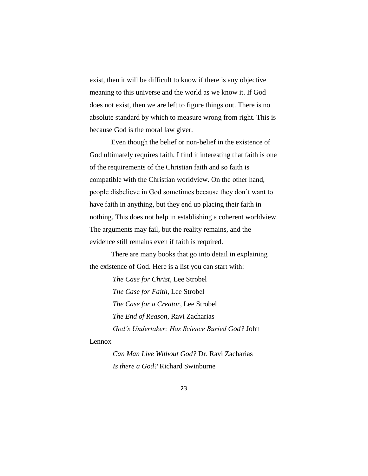exist, then it will be difficult to know if there is any objective meaning to this universe and the world as we know it. If God does not exist, then we are left to figure things out. There is no absolute standard by which to measure wrong from right. This is because God is the moral law giver.

Even though the belief or non-belief in the existence of God ultimately requires faith, I find it interesting that faith is one of the requirements of the Christian faith and so faith is compatible with the Christian worldview. On the other hand, people disbelieve in God sometimes because they don't want to have faith in anything, but they end up placing their faith in nothing. This does not help in establishing a coherent worldview. The arguments may fail, but the reality remains, and the evidence still remains even if faith is required.

There are many books that go into detail in explaining the existence of God. Here is a list you can start with:

> *The Case for Christ*, Lee Strobel *The Case for Faith*, Lee Strobel *The Case for a Creator*, Lee Strobel *The End of Reason*, Ravi Zacharias *God's Undertaker: Has Science Buried God?* John

Lennox

*Can Man Live Without God?* Dr. Ravi Zacharias *Is there a God?* Richard Swinburne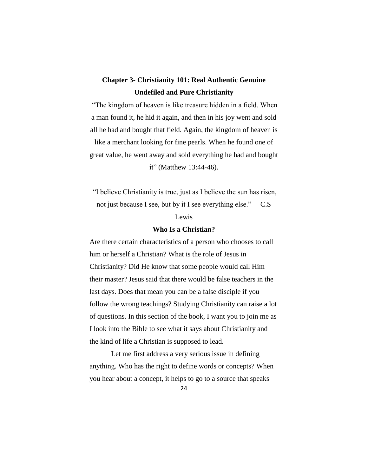# **Chapter 3- Christianity 101: Real Authentic Genuine Undefiled and Pure Christianity**

"The kingdom of heaven is like treasure hidden in a field. When a man found it, he hid it again, and then in his joy went and sold all he had and bought that field. Again, the kingdom of heaven is

like a merchant looking for fine pearls. When he found one of great value, he went away and sold everything he had and bought it" (Matthew 13:44-46).

"I believe Christianity is true, just as I believe the sun has risen, not just because I see, but by it I see everything else." —C.S

Lewis

## **Who Is a Christian?**

Are there certain characteristics of a person who chooses to call him or herself a Christian? What is the role of Jesus in Christianity? Did He know that some people would call Him their master? Jesus said that there would be false teachers in the last days. Does that mean you can be a false disciple if you follow the wrong teachings? Studying Christianity can raise a lot of questions. In this section of the book, I want you to join me as I look into the Bible to see what it says about Christianity and the kind of life a Christian is supposed to lead.

Let me first address a very serious issue in defining anything. Who has the right to define words or concepts? When you hear about a concept, it helps to go to a source that speaks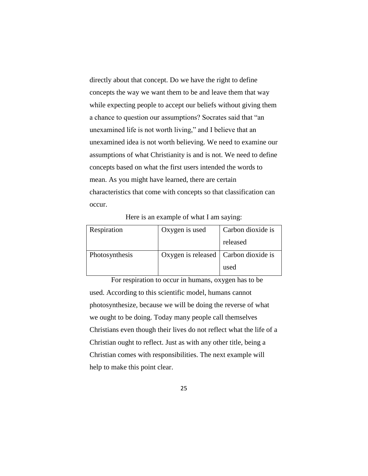directly about that concept. Do we have the right to define concepts the way we want them to be and leave them that way while expecting people to accept our beliefs without giving them a chance to question our assumptions? Socrates said that "an unexamined life is not worth living," and I believe that an unexamined idea is not worth believing. We need to examine our assumptions of what Christianity is and is not. We need to define concepts based on what the first users intended the words to mean. As you might have learned, there are certain characteristics that come with concepts so that classification can occur.

### Here is an example of what I am saying:

| Respiration    | Oxygen is used                         | Carbon dioxide is |
|----------------|----------------------------------------|-------------------|
|                |                                        | released          |
| Photosynthesis | Oxygen is released   Carbon dioxide is |                   |
|                |                                        | used              |

For respiration to occur in humans, oxygen has to be used. According to this scientific model, humans cannot photosynthesize, because we will be doing the reverse of what we ought to be doing. Today many people call themselves Christians even though their lives do not reflect what the life of a Christian ought to reflect. Just as with any other title, being a Christian comes with responsibilities. The next example will help to make this point clear.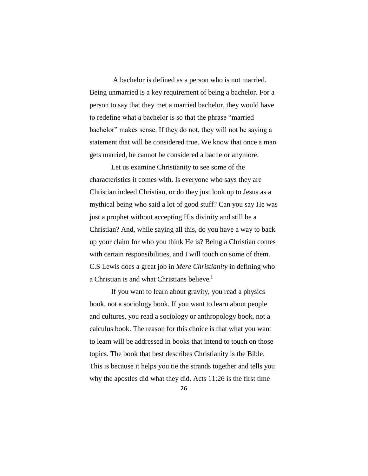A bachelor is defined as a person who is not married. Being unmarried is a key requirement of being a bachelor. For a person to say that they met a married bachelor, they would have to redefine what a bachelor is so that the phrase "married bachelor" makes sense. If they do not, they will not be saying a statement that will be considered true. We know that once a man gets married, he cannot be considered a bachelor anymore.

Let us examine Christianity to see some of the characteristics it comes with. Is everyone who says they are Christian indeed Christian, or do they just look up to Jesus as a mythical being who said a lot of good stuff? Can you say He was just a prophet without accepting His divinity and still be a Christian? And, while saying all this, do you have a way to back up your claim for who you think He is? Being a Christian comes with certain responsibilities, and I will touch on some of them. C.S Lewis does a great job in *Mere Christianity* in defining who a Christian is and what Christians believe.<sup>i</sup>

If you want to learn about gravity, you read a physics book, not a sociology book. If you want to learn about people and cultures, you read a sociology or anthropology book, not a calculus book. The reason for this choice is that what you want to learn will be addressed in books that intend to touch on those topics. The book that best describes Christianity is the Bible. This is because it helps you tie the strands together and tells you why the apostles did what they did. Acts 11:26 is the first time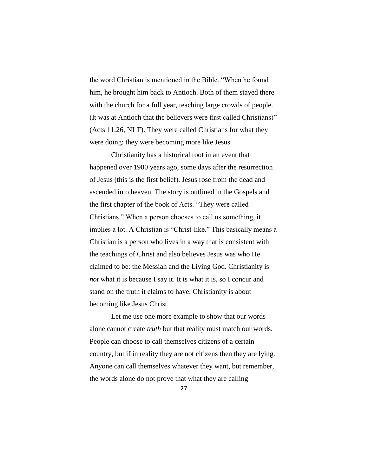the word Christian is mentioned in the Bible. "When he found him, he brought him back to Antioch. Both of them stayed there with the church for a full year, teaching large crowds of people. (It was at Antioch that the believers were first called Christians)" (Acts 11:26, NLT). They were called Christians for what they were doing: they were becoming more like Jesus.

Christianity has a historical root in an event that happened over 1900 years ago, some days after the resurrection of Jesus (this is the first belief). Jesus rose from the dead and ascended into heaven. The story is outlined in the Gospels and the first chapter of the book of Acts. "They were called Christians." When a person chooses to call us something, it implies a lot. A Christian is "Christ-like." This basically means a Christian is a person who lives in a way that is consistent with the teachings of Christ and also believes Jesus was who He claimed to be: the Messiah and the Living God. Christianity is *not* what it is because I say it. It is what it is, so I concur and stand on the truth it claims to have. Christianity is about becoming like Jesus Christ.

Let me use one more example to show that our words alone cannot create *truth* but that reality must match our words. People can choose to call themselves citizens of a certain country, but if in reality they are not citizens then they are lying. Anyone can call themselves whatever they want, but remember, the words alone do not prove that what they are calling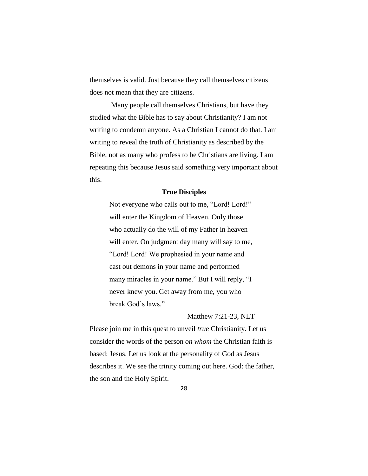themselves is valid. Just because they call themselves citizens does not mean that they are citizens.

Many people call themselves Christians, but have they studied what the Bible has to say about Christianity? I am not writing to condemn anyone. As a Christian I cannot do that. I am writing to reveal the truth of Christianity as described by the Bible, not as many who profess to be Christians are living. I am repeating this because Jesus said something very important about this.

## **True Disciples**

Not everyone who calls out to me, "Lord! Lord!" will enter the Kingdom of Heaven. Only those who actually do the will of my Father in heaven will enter. On judgment day many will say to me, "Lord! Lord! We prophesied in your name and cast out demons in your name and performed many miracles in your name." But I will reply, "I never knew you. Get away from me, you who break God's laws."

## —Matthew 7:21-23, NLT

Please join me in this quest to unveil *true* Christianity. Let us consider the words of the person *on whom* the Christian faith is based: Jesus. Let us look at the personality of God as Jesus describes it. We see the trinity coming out here. God: the father, the son and the Holy Spirit.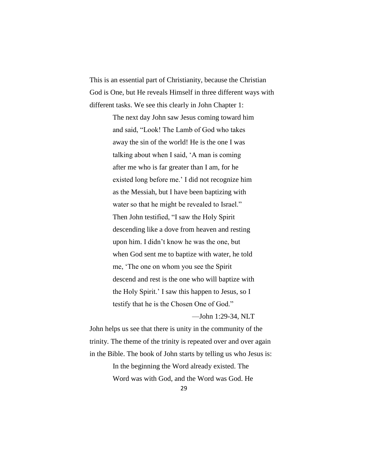This is an essential part of Christianity, because the Christian God is One, but He reveals Himself in three different ways with different tasks. We see this clearly in John Chapter 1:

> The next day John saw Jesus coming toward him and said, "Look! The Lamb of God who takes away the sin of the world! He is the one I was talking about when I said, 'A man is coming after me who is far greater than I am, for he existed long before me.' I did not recognize him as the Messiah, but I have been baptizing with water so that he might be revealed to Israel." Then John testified, "I saw the Holy Spirit descending like a dove from heaven and resting upon him. I didn't know he was the one, but when God sent me to baptize with water, he told me, 'The one on whom you see the Spirit descend and rest is the one who will baptize with the Holy Spirit.' I saw this happen to Jesus, so I testify that he is the Chosen One of God."

> > —John 1:29-34, NLT

John helps us see that there is unity in the community of the trinity. The theme of the trinity is repeated over and over again in the Bible. The book of John starts by telling us who Jesus is: In the beginning the Word already existed. The Word was with God, and the Word was God. He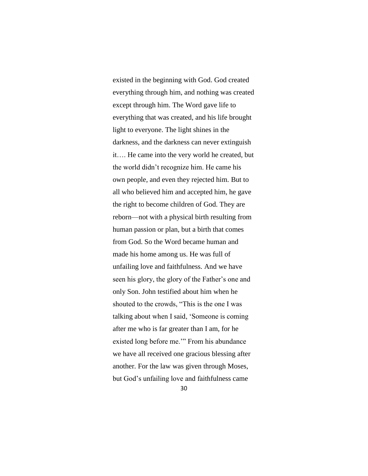existed in the beginning with God. God created everything through him, and nothing was created except through him. The Word gave life to everything that was created, and his life brought light to everyone. The light shines in the darkness, and the darkness can never extinguish it…. He came into the very world he created, but the world didn't recognize him. He came his own people, and even they rejected him. But to all who believed him and accepted him, he gave the right to become children of God. They are reborn—not with a physical birth resulting from human passion or plan, but a birth that comes from God. So the Word became human and made his home among us. He was full of unfailing love and faithfulness. And we have seen his glory, the glory of the Father's one and only Son. John testified about him when he shouted to the crowds, "This is the one I was talking about when I said, 'Someone is coming after me who is far greater than I am, for he existed long before me.'" From his abundance we have all received one gracious blessing after another. For the law was given through Moses, but God's unfailing love and faithfulness came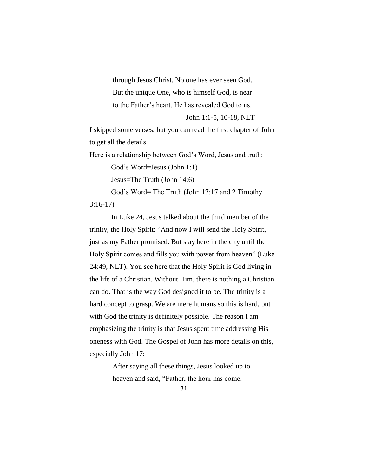through Jesus Christ. No one has ever seen God. But the unique One, who is himself God, is near to the Father's heart. He has revealed God to us.

—John 1:1-5, 10-18, NLT

I skipped some verses, but you can read the first chapter of John to get all the details.

Here is a relationship between God's Word, Jesus and truth:

God's Word=Jesus (John 1:1)

Jesus=The Truth (John 14:6)

God's Word= The Truth (John 17:17 and 2 Timothy

3:16-17)

In Luke 24, Jesus talked about the third member of the trinity, the Holy Spirit: "And now I will send the Holy Spirit, just as my Father promised. But stay here in the city until the Holy Spirit comes and fills you with power from heaven" (Luke 24:49, NLT). You see here that the Holy Spirit is God living in the life of a Christian. Without Him, there is nothing a Christian can do. That is the way God designed it to be. The trinity is a hard concept to grasp. We are mere humans so this is hard, but with God the trinity is definitely possible. The reason I am emphasizing the trinity is that Jesus spent time addressing His oneness with God. The Gospel of John has more details on this, especially John 17:

> After saying all these things, Jesus looked up to heaven and said, "Father, the hour has come.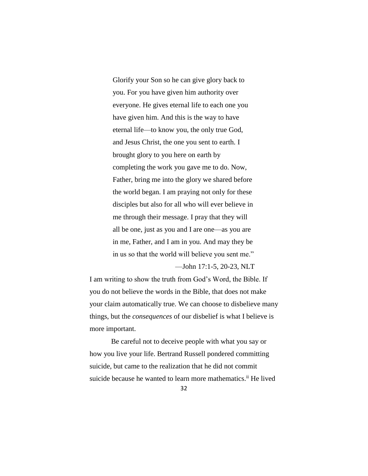Glorify your Son so he can give glory back to you. For you have given him authority over everyone. He gives eternal life to each one you have given him. And this is the way to have eternal life—to know you, the only true God, and Jesus Christ, the one you sent to earth. I brought glory to you here on earth by completing the work you gave me to do. Now, Father, bring me into the glory we shared before the world began. I am praying not only for these disciples but also for all who will ever believe in me through their message. I pray that they will all be one, just as you and I are one—as you are in me, Father, and I am in you. And may they be in us so that the world will believe you sent me." —John 17:1-5, 20-23, NLT

I am writing to show the truth from God's Word, the Bible. If you do not believe the words in the Bible, that does not make your claim automatically true. We can choose to disbelieve many things, but the *consequences* of our disbelief is what I believe is more important.

Be careful not to deceive people with what you say or how you live your life. Bertrand Russell pondered committing suicide, but came to the realization that he did not commit suicide because he wanted to learn more mathematics.<sup>ii</sup> He lived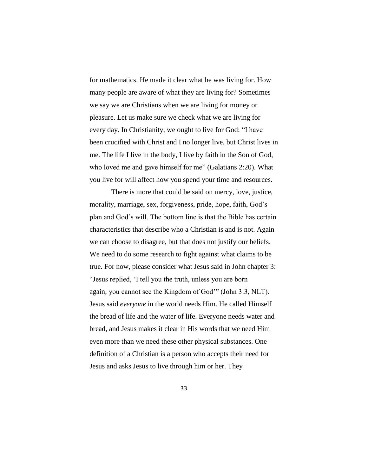for mathematics. He made it clear what he was living for. How many people are aware of what they are living for? Sometimes we say we are Christians when we are living for money or pleasure. Let us make sure we check what we are living for every day. In Christianity, we ought to live for God: "I have been crucified with Christ and I no longer live, but Christ lives in me. The life I live in the body, I live by faith in the Son of God, who loved me and gave himself for me" (Galatians 2:20). What you live for will affect how you spend your time and resources.

There is more that could be said on mercy, love, justice, morality, marriage, sex, forgiveness, pride, hope, faith, God's plan and God's will. The bottom line is that the Bible has certain characteristics that describe who a Christian is and is not. Again we can choose to disagree, but that does not justify our beliefs. We need to do some research to fight against what claims to be true. For now, please consider what Jesus said in John chapter 3: "Jesus replied, 'I tell you the truth, unless you are born again, you cannot see the Kingdom of God'" (John 3:3, NLT). Jesus said *everyone* in the world needs Him. He called Himself the bread of life and the water of life. Everyone needs water and bread, and Jesus makes it clear in His words that we need Him even more than we need these other physical substances. One definition of a Christian is a person who accepts their need for Jesus and asks Jesus to live through him or her. They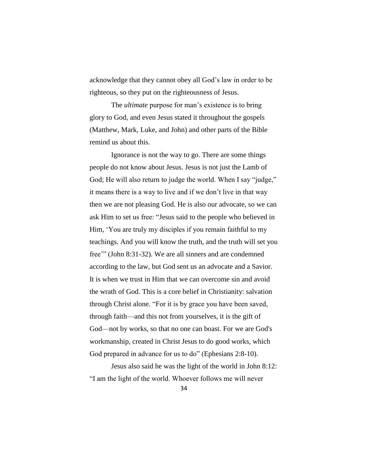acknowledge that they cannot obey all God's law in order to be righteous, so they put on the righteousness of Jesus.

The *ultimate* purpose for man's existence is to bring glory to God, and even Jesus stated it throughout the gospels (Matthew, Mark, Luke, and John) and other parts of the Bible remind us about this.

Ignorance is not the way to go. There are some things people do not know about Jesus. Jesus is not just the Lamb of God; He will also return to judge the world. When I say "judge," it means there is a way to live and if we don't live in that way then we are not pleasing God. He is also our advocate, so we can ask Him to set us free: "Jesus said to the people who believed in Him, 'You are truly my disciples if you remain faithful to my teachings. And you will know the truth, and the truth will set you free'" (John 8:31-32). We are all sinners and are condemned according to the law, but God sent us an advocate and a Savior. It is when we trust in Him that we can overcome sin and avoid the wrath of God. This is a core belief in Christianity: salvation through Christ alone. "For it is by grace you have been saved, through faith—and this not from yourselves, it is the gift of God—not by works, so that no one can boast. For we are God's workmanship, created in Christ Jesus to do good works, which God prepared in advance for us to do" (Ephesians 2:8-10).

Jesus also said he was the light of the world in John 8:12: "I am the light of the world. Whoever follows me will never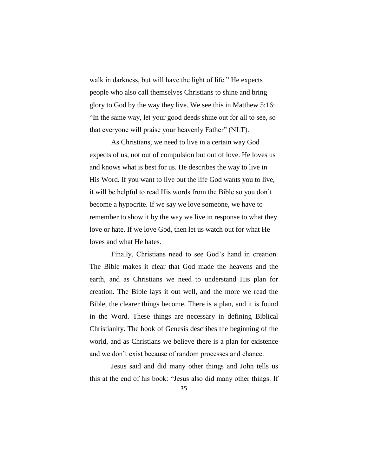walk in darkness, but will have the light of life." He expects people who also call themselves Christians to shine and bring glory to God by the way they live. We see this in Matthew 5:16: "In the same way, let your good deeds shine out for all to see, so that everyone will praise your heavenly Father" (NLT).

As Christians, we need to live in a certain way God expects of us, not out of compulsion but out of love. He loves us and knows what is best for us. He describes the way to live in His Word. If you want to live out the life God wants you to live, it will be helpful to read His words from the Bible so you don't become a hypocrite. If we say we love someone, we have to remember to show it by the way we live in response to what they love or hate. If we love God, then let us watch out for what He loves and what He hates.

Finally, Christians need to see God's hand in creation. The Bible makes it clear that God made the heavens and the earth, and as Christians we need to understand His plan for creation. The Bible lays it out well, and the more we read the Bible, the clearer things become. There is a plan, and it is found in the Word. These things are necessary in defining Biblical Christianity. The book of Genesis describes the beginning of the world, and as Christians we believe there is a plan for existence and we don't exist because of random processes and chance.

Jesus said and did many other things and John tells us this at the end of his book: "Jesus also did many other things. If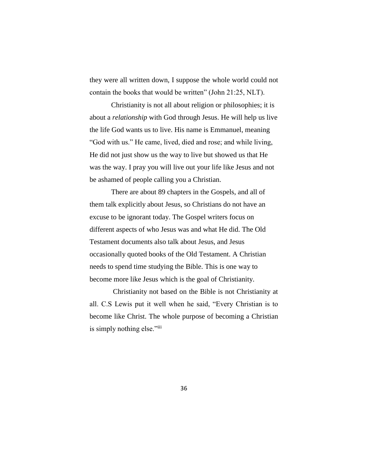they were all written down, I suppose the whole world could not contain the books that would be written" (John 21:25, NLT).

Christianity is not all about religion or philosophies; it is about a *relationship* with God through Jesus. He will help us live the life God wants us to live. His name is Emmanuel, meaning "God with us." He came, lived, died and rose; and while living, He did not just show us the way to live but showed us that He was the way. I pray you will live out your life like Jesus and not be ashamed of people calling you a Christian.

There are about 89 chapters in the Gospels, and all of them talk explicitly about Jesus, so Christians do not have an excuse to be ignorant today. The Gospel writers focus on different aspects of who Jesus was and what He did. The Old Testament documents also talk about Jesus, and Jesus occasionally quoted books of the Old Testament. A Christian needs to spend time studying the Bible. This is one way to become more like Jesus which is the goal of Christianity.

Christianity not based on the Bible is not Christianity at all. C.S Lewis put it well when he said, "Every Christian is to become like Christ. The whole purpose of becoming a Christian is simply nothing else."iii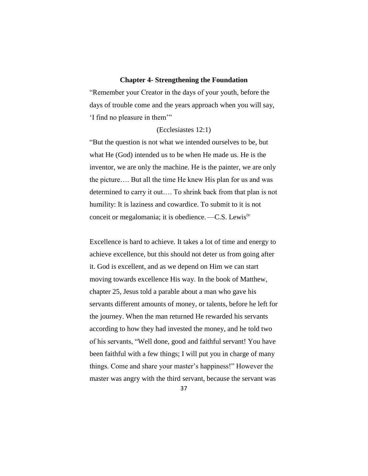#### **Chapter 4- Strengthening the Foundation**

"Remember your Creator in the days of your youth, before the days of trouble come and the years approach when you will say, 'I find no pleasure in them'"

#### (Ecclesiastes 12:1)

"But the question is not what we intended ourselves to be, but what He (God) intended us to be when He made us. He is the inventor, we are only the machine. He is the painter, we are only the picture…. But all the time He knew His plan for us and was determined to carry it out…. To shrink back from that plan is not humility: It is laziness and cowardice. To submit to it is not conceit or megalomania; it is obedience. - C.S. Lewis<sup>iv</sup>

Excellence is hard to achieve. It takes a lot of time and energy to achieve excellence, but this should not deter us from going after it. God is excellent, and as we depend on Him we can start moving towards excellence His way. In the book of Matthew, chapter 25, Jesus told a parable about a man who gave his servants different amounts of money, or talents, before he left for the journey. When the man returned He rewarded his servants according to how they had invested the money, and he told two of his servants, "Well done, good and faithful servant! You have been faithful with a few things; I will put you in charge of many things. Come and share your master's happiness!" However the master was angry with the third servant, because the servant was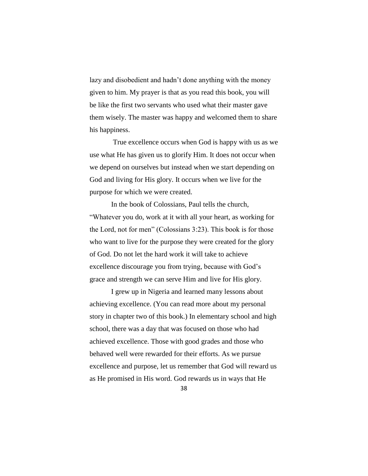lazy and disobedient and hadn't done anything with the money given to him. My prayer is that as you read this book, you will be like the first two servants who used what their master gave them wisely. The master was happy and welcomed them to share his happiness.

True excellence occurs when God is happy with us as we use what He has given us to glorify Him. It does not occur when we depend on ourselves but instead when we start depending on God and living for His glory. It occurs when we live for the purpose for which we were created.

In the book of Colossians, Paul tells the church, "Whatever you do, work at it with all your heart, as working for the Lord, not for men" (Colossians 3:23). This book is for those who want to live for the purpose they were created for the glory of God. Do not let the hard work it will take to achieve excellence discourage you from trying, because with God's grace and strength we can serve Him and live for His glory.

I grew up in Nigeria and learned many lessons about achieving excellence. (You can read more about my personal story in chapter two of this book.) In elementary school and high school, there was a day that was focused on those who had achieved excellence. Those with good grades and those who behaved well were rewarded for their efforts. As we pursue excellence and purpose, let us remember that God will reward us as He promised in His word. God rewards us in ways that He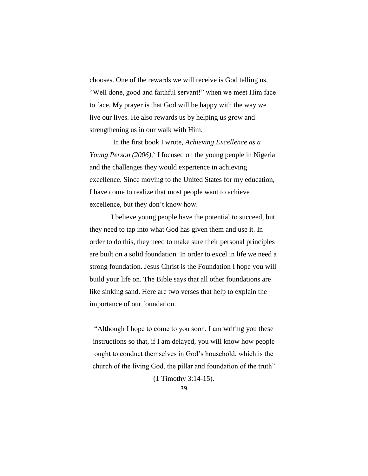chooses. One of the rewards we will receive is God telling us, "Well done, good and faithful servant!" when we meet Him face to face. My prayer is that God will be happy with the way we live our lives. He also rewards us by helping us grow and strengthening us in our walk with Him.

In the first book I wrote, *Achieving Excellence as a*  Young Person (2006),<sup>v</sup> I focused on the young people in Nigeria and the challenges they would experience in achieving excellence. Since moving to the United States for my education, I have come to realize that most people want to achieve excellence, but they don't know how.

I believe young people have the potential to succeed, but they need to tap into what God has given them and use it. In order to do this, they need to make sure their personal principles are built on a solid foundation. In order to excel in life we need a strong foundation. Jesus Christ is the Foundation I hope you will build your life on. The Bible says that all other foundations are like sinking sand. Here are two verses that help to explain the importance of our foundation.

"Although I hope to come to you soon, I am writing you these instructions so that, if I am delayed, you will know how people ought to conduct themselves in God's household, which is the church of the living God, the pillar and foundation of the truth"

(1 Timothy 3:14-15).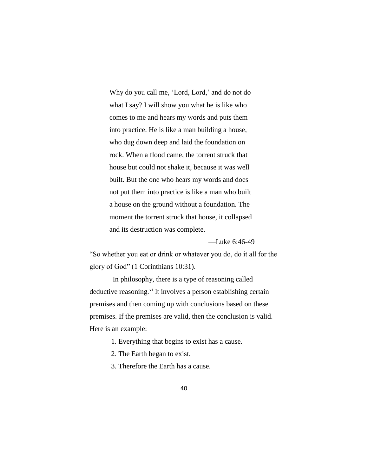Why do you call me, 'Lord, Lord,' and do not do what I say? I will show you what he is like who comes to me and hears my words and puts them into practice. He is like a man building a house, who dug down deep and laid the foundation on rock. When a flood came, the torrent struck that house but could not shake it, because it was well built. But the one who hears my words and does not put them into practice is like a man who built a house on the ground without a foundation. The moment the torrent struck that house, it collapsed and its destruction was complete.

#### —Luke 6:46-49

"So whether you eat or drink or whatever you do, do it all for the glory of God" (1 Corinthians 10:31).

In philosophy, there is a type of reasoning called deductive reasoning.<sup>vi</sup> It involves a person establishing certain premises and then coming up with conclusions based on these premises. If the premises are valid, then the conclusion is valid. Here is an example:

- 1. Everything that begins to exist has a cause.
- 2. The Earth began to exist.
- 3. Therefore the Earth has a cause.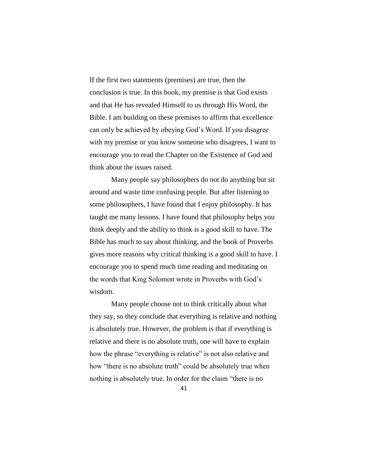If the first two statements (premises) are true, then the conclusion is true. In this book, my premise is that God exists and that He has revealed Himself to us through His Word, the Bible. I am building on these premises to affirm that excellence can only be achieved by obeying God's Word. If you disagree with my premise or you know someone who disagrees, I want to encourage you to read the Chapter on the Existence of God and think about the issues raised.

Many people say philosophers do not do anything but sit around and waste time confusing people. But after listening to some philosophers, I have found that I enjoy philosophy. It has taught me many lessons. I have found that philosophy helps you think deeply and the ability to think is a good skill to have. The Bible has much to say about thinking, and the book of Proverbs gives more reasons why critical thinking is a good skill to have. I encourage you to spend much time reading and meditating on the words that King Solomon wrote in Proverbs with God's wisdom.

Many people choose not to think critically about what they say, so they conclude that everything is relative and nothing is absolutely true. However, the problem is that if everything is relative and there is no absolute truth, one will have to explain how the phrase "everything is relative" is not also relative and how "there is no absolute truth" could be absolutely true when nothing is absolutely true. In order for the claim "there is no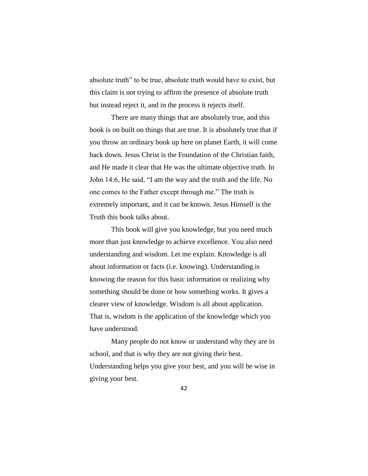absolute truth" to be true, absolute truth would have to exist, but this claim is not trying to affirm the presence of absolute truth but instead reject it, and in the process it rejects itself.

There are many things that are absolutely true, and this book is on built on things that are true. It is absolutely true that if you throw an ordinary book up here on planet Earth, it will come back down. Jesus Christ is the Foundation of the Christian faith, and He made it clear that He was the ultimate objective truth. In John 14:6, He said, "I am the way and the truth and the life. No one comes to the Father except through me." The truth is extremely important, and it can be known. Jesus Himself is the Truth this book talks about.

This book will give you knowledge, but you need much more than just knowledge to achieve excellence. You also need understanding and wisdom. Let me explain. Knowledge is all about information or facts (i.e. knowing). Understanding is knowing the reason for this basic information or realizing why something should be done or how something works. It gives a clearer view of knowledge. Wisdom is all about application. That is, wisdom is the application of the knowledge which you have understood.

Many people do not know or understand why they are in school, and that is why they are not giving their best. Understanding helps you give your best, and you will be wise in giving your best.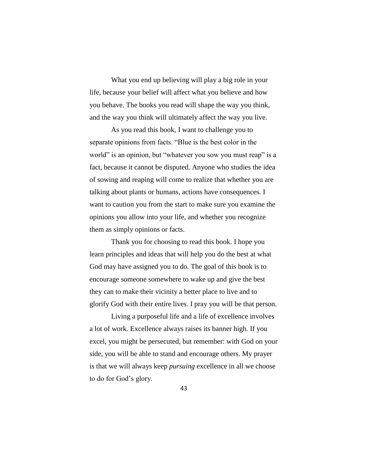What you end up believing will play a big role in your life, because your belief will affect what you believe and how you behave. The books you read will shape the way you think, and the way you think will ultimately affect the way you live.

As you read this book, I want to challenge you to separate opinions from facts. "Blue is the best color in the world" is an opinion, but "whatever you sow you must reap" is a fact, because it cannot be disputed. Anyone who studies the idea of sowing and reaping will come to realize that whether you are talking about plants or humans, actions have consequences. I want to caution you from the start to make sure you examine the opinions you allow into your life, and whether you recognize them as simply opinions or facts.

Thank you for choosing to read this book. I hope you learn principles and ideas that will help you do the best at what God may have assigned you to do. The goal of this book is to encourage someone somewhere to wake up and give the best they can to make their vicinity a better place to live and to glorify God with their entire lives. I pray you will be that person.

Living a purposeful life and a life of excellence involves a lot of work. Excellence always raises its banner high. If you excel, you might be persecuted, but remember: with God on your side, you will be able to stand and encourage others. My prayer is that we will always keep *pursuing* excellence in all we choose to do for God's glory.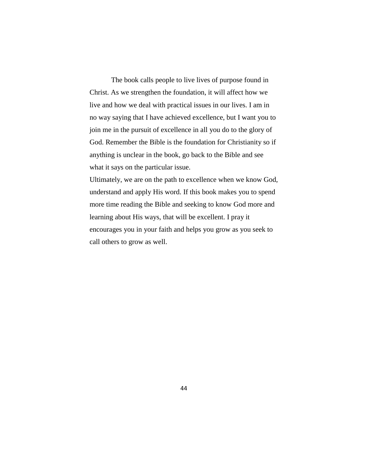The book calls people to live lives of purpose found in Christ. As we strengthen the foundation, it will affect how we live and how we deal with practical issues in our lives. I am in no way saying that I have achieved excellence, but I want you to join me in the pursuit of excellence in all you do to the glory of God. Remember the Bible is the foundation for Christianity so if anything is unclear in the book, go back to the Bible and see what it says on the particular issue.

Ultimately, we are on the path to excellence when we know God, understand and apply His word. If this book makes you to spend more time reading the Bible and seeking to know God more and learning about His ways, that will be excellent. I pray it encourages you in your faith and helps you grow as you seek to call others to grow as well.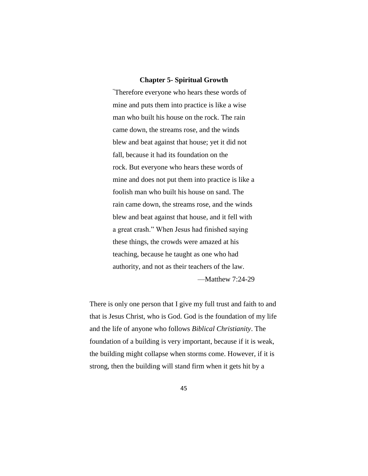## **Chapter 5- Spiritual Growth**

"Therefore everyone who hears these words of mine and puts them into practice is like a wise man who built his house on the rock. The rain came down, the streams rose, and the winds blew and beat against that house; yet it did not fall, because it had its foundation on the rock. But everyone who hears these words of mine and does not put them into practice is like a foolish man who built his house on sand. The rain came down, the streams rose, and the winds blew and beat against that house, and it fell with a great crash." When Jesus had finished saying these things, the crowds were amazed at his teaching, because he taught as one who had authority, and not as their teachers of the law. —Matthew 7:24-29

There is only one person that I give my full trust and faith to and that is Jesus Christ, who is God. God is the foundation of my life and the life of anyone who follows *Biblical Christianity*. The foundation of a building is very important, because if it is weak, the building might collapse when storms come. However, if it is strong, then the building will stand firm when it gets hit by a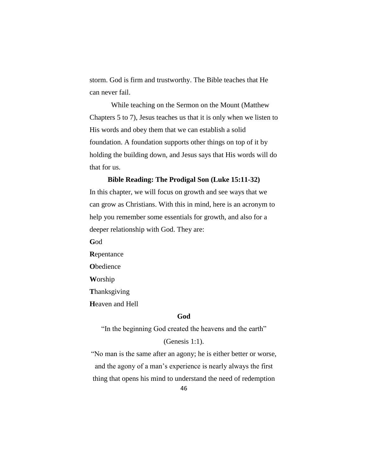storm. God is firm and trustworthy. The Bible teaches that He can never fail.

While teaching on the Sermon on the Mount (Matthew Chapters 5 to 7), Jesus teaches us that it is only when we listen to His words and obey them that we can establish a solid foundation. A foundation supports other things on top of it by holding the building down, and Jesus says that His words will do that for us.

## **Bible Reading: The Prodigal Son (Luke 15:11-32)**

In this chapter, we will focus on growth and see ways that we can grow as Christians. With this in mind, here is an acronym to help you remember some essentials for growth, and also for a deeper relationship with God. They are:

**G**od **R**epentance **O**bedience **W**orship **T**hanksgiving

**H**eaven and Hell

## **God**

"In the beginning God created the heavens and the earth"

# (Genesis 1:1).

"No man is the same after an agony; he is either better or worse, and the agony of a man's experience is nearly always the first thing that opens his mind to understand the need of redemption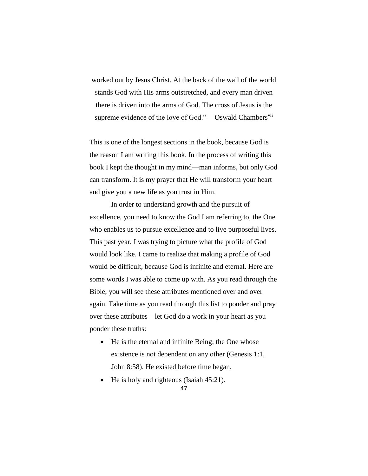worked out by Jesus Christ. At the back of the wall of the world stands God with His arms outstretched, and every man driven there is driven into the arms of God. The cross of Jesus is the supreme evidence of the love of God."—Oswald Chambers<sup>vii</sup>

This is one of the longest sections in the book, because God is the reason I am writing this book. In the process of writing this book I kept the thought in my mind—man informs, but only God can transform. It is my prayer that He will transform your heart and give you a new life as you trust in Him.

In order to understand growth and the pursuit of excellence, you need to know the God I am referring to, the One who enables us to pursue excellence and to live purposeful lives. This past year, I was trying to picture what the profile of God would look like. I came to realize that making a profile of God would be difficult, because God is infinite and eternal. Here are some words I was able to come up with. As you read through the Bible, you will see these attributes mentioned over and over again. Take time as you read through this list to ponder and pray over these attributes—let God do a work in your heart as you ponder these truths:

- He is the eternal and infinite Being; the One whose existence is not dependent on any other (Genesis 1:1, John 8:58). He existed before time began.
- He is holy and righteous (Isaiah 45:21).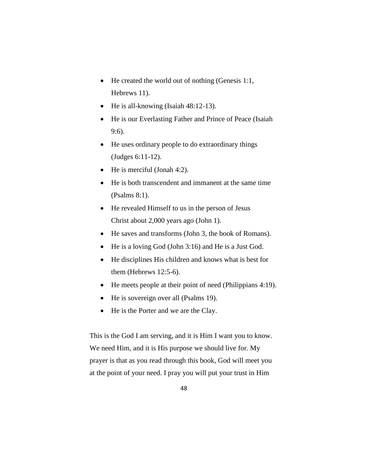- He created the world out of nothing (Genesis 1:1, Hebrews 11).
- He is all-knowing (Isaiah 48:12-13).
- He is our Everlasting Father and Prince of Peace (Isaiah 9:6).
- He uses ordinary people to do extraordinary things (Judges 6:11-12).
- He is merciful (Jonah 4:2).
- He is both transcendent and immanent at the same time (Psalms 8:1).
- He revealed Himself to us in the person of Jesus Christ about 2,000 years ago (John 1).
- He saves and transforms (John 3, the book of Romans).
- He is a loving God (John 3:16) and He is a Just God.
- He disciplines His children and knows what is best for them (Hebrews 12:5-6).
- He meets people at their point of need (Philippians 4:19).
- He is sovereign over all (Psalms 19).
- He is the Porter and we are the Clay.

This is the God I am serving, and it is Him I want you to know. We need Him, and it is His purpose we should live for. My prayer is that as you read through this book, God will meet you at the point of your need. I pray you will put your trust in Him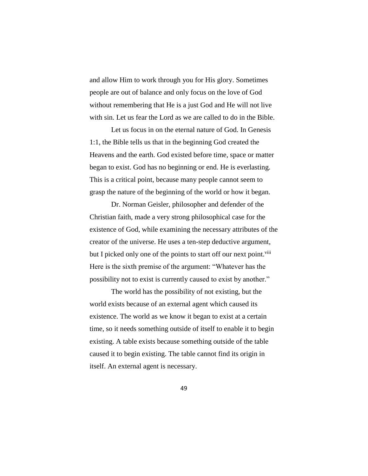and allow Him to work through you for His glory. Sometimes people are out of balance and only focus on the love of God without remembering that He is a just God and He will not live with sin. Let us fear the Lord as we are called to do in the Bible.

Let us focus in on the eternal nature of God. In Genesis 1:1, the Bible tells us that in the beginning God created the Heavens and the earth. God existed before time, space or matter began to exist. God has no beginning or end. He is everlasting. This is a critical point, because many people cannot seem to grasp the nature of the beginning of the world or how it began.

Dr. Norman Geisler, philosopher and defender of the Christian faith, made a very strong philosophical case for the existence of God, while examining the necessary attributes of the creator of the universe. He uses a ten-step deductive argument, but I picked only one of the points to start off our next point.<sup>viii</sup> Here is the sixth premise of the argument: "Whatever has the possibility not to exist is currently caused to exist by another."

The world has the possibility of not existing, but the world exists because of an external agent which caused its existence. The world as we know it began to exist at a certain time, so it needs something outside of itself to enable it to begin existing. A table exists because something outside of the table caused it to begin existing. The table cannot find its origin in itself. An external agent is necessary.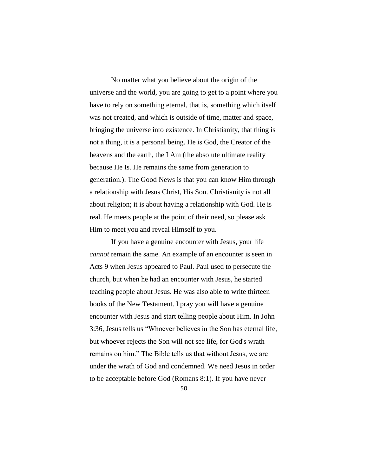No matter what you believe about the origin of the universe and the world, you are going to get to a point where you have to rely on something eternal, that is, something which itself was not created, and which is outside of time, matter and space, bringing the universe into existence. In Christianity, that thing is not a thing, it is a personal being. He is God, the Creator of the heavens and the earth, the I Am (the absolute ultimate reality because He Is. He remains the same from generation to generation.). The Good News is that you can know Him through a relationship with Jesus Christ, His Son. Christianity is not all about religion; it is about having a relationship with God. He is real. He meets people at the point of their need, so please ask Him to meet you and reveal Himself to you.

If you have a genuine encounter with Jesus, your life *cannot* remain the same. An example of an encounter is seen in Acts 9 when Jesus appeared to Paul. Paul used to persecute the church, but when he had an encounter with Jesus, he started teaching people about Jesus. He was also able to write thirteen books of the New Testament. I pray you will have a genuine encounter with Jesus and start telling people about Him. In John 3:36, Jesus tells us "Whoever believes in the Son has eternal life, but whoever rejects the Son will not see life, for God's wrath remains on him." The Bible tells us that without Jesus, we are under the wrath of God and condemned. We need Jesus in order to be acceptable before God (Romans 8:1). If you have never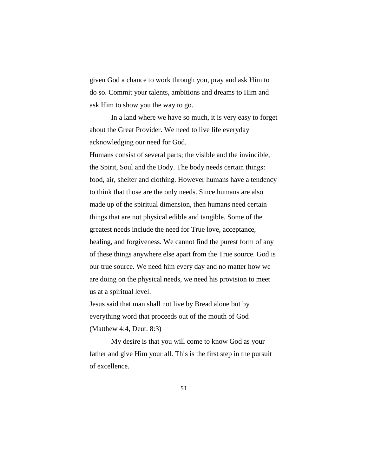given God a chance to work through you, pray and ask Him to do so. Commit your talents, ambitions and dreams to Him and ask Him to show you the way to go.

In a land where we have so much, it is very easy to forget about the Great Provider. We need to live life everyday acknowledging our need for God.

Humans consist of several parts; the visible and the invincible, the Spirit, Soul and the Body. The body needs certain things: food, air, shelter and clothing. However humans have a tendency to think that those are the only needs. Since humans are also made up of the spiritual dimension, then humans need certain things that are not physical edible and tangible. Some of the greatest needs include the need for True love, acceptance, healing, and forgiveness. We cannot find the purest form of any of these things anywhere else apart from the True source. God is our true source. We need him every day and no matter how we are doing on the physical needs, we need his provision to meet us at a spiritual level.

Jesus said that man shall not live by Bread alone but by everything word that proceeds out of the mouth of God (Matthew 4:4, Deut. 8:3)

My desire is that you will come to know God as your father and give Him your all. This is the first step in the pursuit of excellence.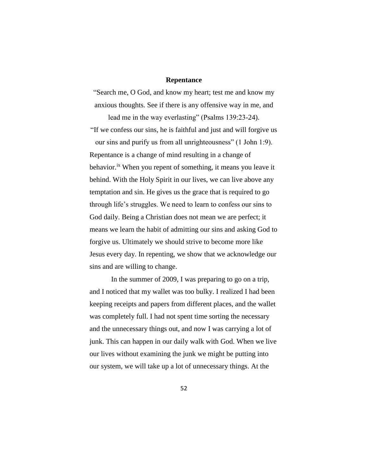#### **Repentance**

"Search me, O God, and know my heart; test me and know my anxious thoughts. See if there is any offensive way in me, and lead me in the way everlasting" (Psalms 139:23-24). "If we confess our sins, he is faithful and just and will forgive us our sins and purify us from all unrighteousness" (1 John 1:9). Repentance is a change of mind resulting in a change of behavior.<sup>ix</sup> When you repent of something, it means you leave it behind. With the Holy Spirit in our lives, we can live above any temptation and sin. He gives us the grace that is required to go through life's struggles. We need to learn to confess our sins to God daily. Being a Christian does not mean we are perfect; it means we learn the habit of admitting our sins and asking God to forgive us. Ultimately we should strive to become more like Jesus every day. In repenting, we show that we acknowledge our sins and are willing to change.

In the summer of 2009, I was preparing to go on a trip, and I noticed that my wallet was too bulky. I realized I had been keeping receipts and papers from different places, and the wallet was completely full. I had not spent time sorting the necessary and the unnecessary things out, and now I was carrying a lot of junk. This can happen in our daily walk with God. When we live our lives without examining the junk we might be putting into our system, we will take up a lot of unnecessary things. At the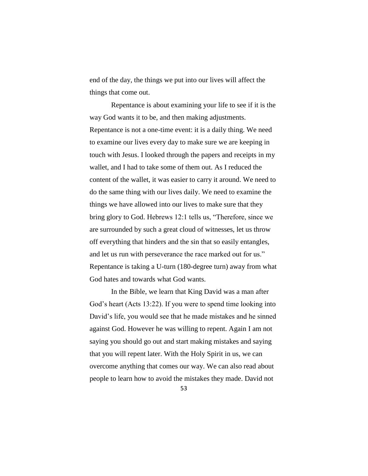end of the day, the things we put into our lives will affect the things that come out.

Repentance is about examining your life to see if it is the way God wants it to be, and then making adjustments. Repentance is not a one-time event: it is a daily thing. We need to examine our lives every day to make sure we are keeping in touch with Jesus. I looked through the papers and receipts in my wallet, and I had to take some of them out. As I reduced the content of the wallet, it was easier to carry it around. We need to do the same thing with our lives daily. We need to examine the things we have allowed into our lives to make sure that they bring glory to God. Hebrews 12:1 tells us, "Therefore, since we are surrounded by such a great cloud of witnesses, let us throw off everything that hinders and the sin that so easily entangles, and let us run with perseverance the race marked out for us." Repentance is taking a U-turn (180-degree turn) away from what God hates and towards what God wants.

In the Bible, we learn that King David was a man after God's heart (Acts 13:22). If you were to spend time looking into David's life, you would see that he made mistakes and he sinned against God. However he was willing to repent. Again I am not saying you should go out and start making mistakes and saying that you will repent later. With the Holy Spirit in us, we can overcome anything that comes our way. We can also read about people to learn how to avoid the mistakes they made. David not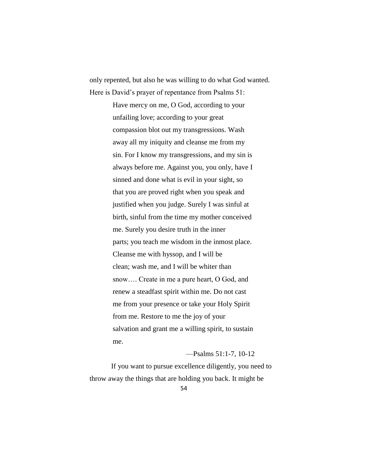only repented, but also he was willing to do what God wanted. Here is David's prayer of repentance from Psalms 51:

> Have mercy on me, O God, according to your unfailing love; according to your great compassion blot out my transgressions. Wash away all my iniquity and cleanse me from my sin. For I know my transgressions, and my sin is always before me. Against you, you only, have I sinned and done what is evil in your sight, so that you are proved right when you speak and justified when you judge. Surely I was sinful at birth, sinful from the time my mother conceived me. Surely you desire truth in the inner parts; you teach me wisdom in the inmost place. Cleanse me with hyssop, and I will be clean; wash me, and I will be whiter than snow…. Create in me a pure heart, O God, and renew a steadfast spirit within me. Do not cast me from your presence or take your Holy Spirit from me. Restore to me the joy of your salvation and grant me a willing spirit, to sustain me.

> > —Psalms 51:1-7, 10-12

If you want to pursue excellence diligently, you need to throw away the things that are holding you back. It might be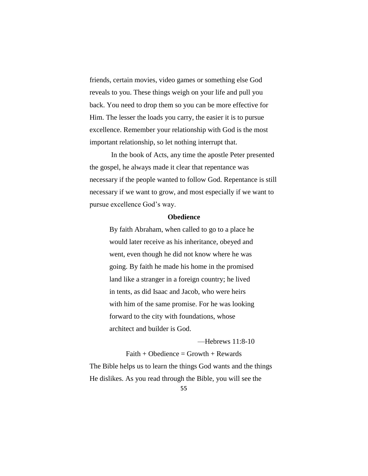friends, certain movies, video games or something else God reveals to you. These things weigh on your life and pull you back. You need to drop them so you can be more effective for Him. The lesser the loads you carry, the easier it is to pursue excellence. Remember your relationship with God is the most important relationship, so let nothing interrupt that.

In the book of Acts, any time the apostle Peter presented the gospel, he always made it clear that repentance was necessary if the people wanted to follow God. Repentance is still necessary if we want to grow, and most especially if we want to pursue excellence God's way.

## **Obedience**

By faith Abraham, when called to go to a place he would later receive as his inheritance, obeyed and went, even though he did not know where he was going. By faith he made his home in the promised land like a stranger in a foreign country; he lived in tents, as did Isaac and Jacob, who were heirs with him of the same promise. For he was looking forward to the city with foundations, whose architect and builder is God.

—Hebrews 11:8-10

 $Faith + Obedience = Growth + Rewards$ The Bible helps us to learn the things God wants and the things He dislikes. As you read through the Bible, you will see the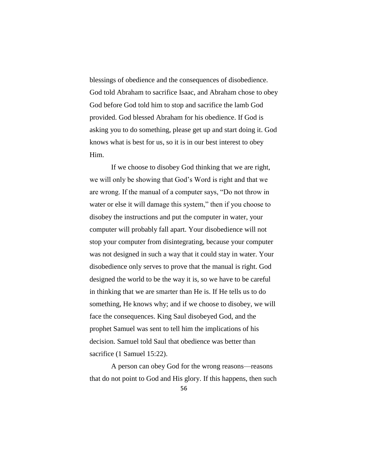blessings of obedience and the consequences of disobedience. God told Abraham to sacrifice Isaac, and Abraham chose to obey God before God told him to stop and sacrifice the lamb God provided. God blessed Abraham for his obedience. If God is asking you to do something, please get up and start doing it. God knows what is best for us, so it is in our best interest to obey Him.

If we choose to disobey God thinking that we are right, we will only be showing that God's Word is right and that we are wrong. If the manual of a computer says, "Do not throw in water or else it will damage this system," then if you choose to disobey the instructions and put the computer in water, your computer will probably fall apart. Your disobedience will not stop your computer from disintegrating, because your computer was not designed in such a way that it could stay in water. Your disobedience only serves to prove that the manual is right. God designed the world to be the way it is, so we have to be careful in thinking that we are smarter than He is. If He tells us to do something, He knows why; and if we choose to disobey, we will face the consequences. King Saul disobeyed God, and the prophet Samuel was sent to tell him the implications of his decision. Samuel told Saul that obedience was better than sacrifice (1 Samuel 15:22).

A person can obey God for the wrong reasons—reasons that do not point to God and His glory. If this happens, then such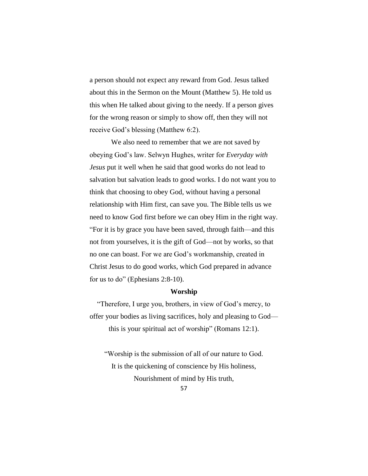a person should not expect any reward from God. Jesus talked about this in the Sermon on the Mount (Matthew 5). He told us this when He talked about giving to the needy. If a person gives for the wrong reason or simply to show off, then they will not receive God's blessing (Matthew 6:2).

We also need to remember that we are not saved by obeying God's law. Selwyn Hughes, writer for *Everyday with Jesus* put it well when he said that good works do not lead to salvation but salvation leads to good works. I do not want you to think that choosing to obey God, without having a personal relationship with Him first, can save you. The Bible tells us we need to know God first before we can obey Him in the right way. "For it is by grace you have been saved, through faith—and this not from yourselves, it is the gift of God—not by works, so that no one can boast. For we are God's workmanship, created in Christ Jesus to do good works, which God prepared in advance for us to do" (Ephesians 2:8-10).

### **Worship**

"Therefore, I urge you, brothers, in view of God's mercy, to offer your bodies as living sacrifices, holy and pleasing to God this is your spiritual act of worship" (Romans 12:1).

"Worship is the submission of all of our nature to God. It is the quickening of conscience by His holiness, Nourishment of mind by His truth,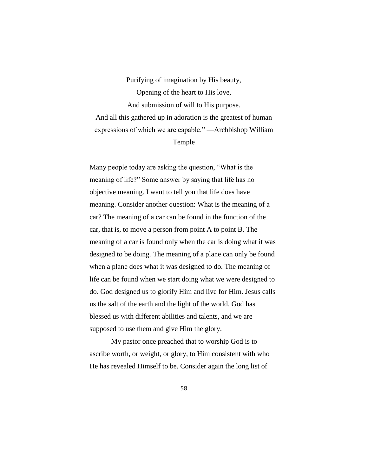Purifying of imagination by His beauty, Opening of the heart to His love, And submission of will to His purpose. And all this gathered up in adoration is the greatest of human expressions of which we are capable." —Archbishop William Temple

Many people today are asking the question, "What is the meaning of life?" Some answer by saying that life has no objective meaning. I want to tell you that life does have meaning. Consider another question: What is the meaning of a car? The meaning of a car can be found in the function of the car, that is, to move a person from point A to point B. The meaning of a car is found only when the car is doing what it was designed to be doing. The meaning of a plane can only be found when a plane does what it was designed to do. The meaning of life can be found when we start doing what we were designed to do. God designed us to glorify Him and live for Him. Jesus calls us the salt of the earth and the light of the world. God has blessed us with different abilities and talents, and we are supposed to use them and give Him the glory.

My pastor once preached that to worship God is to ascribe worth, or weight, or glory, to Him consistent with who He has revealed Himself to be. Consider again the long list of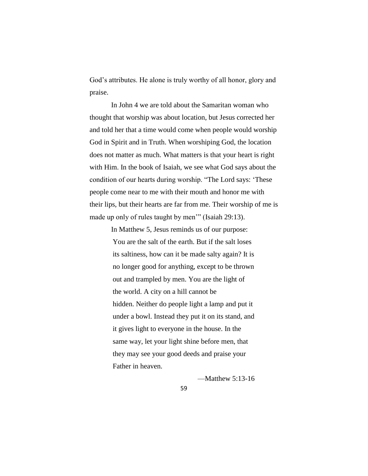God's attributes. He alone is truly worthy of all honor, glory and praise.

In John 4 we are told about the Samaritan woman who thought that worship was about location, but Jesus corrected her and told her that a time would come when people would worship God in Spirit and in Truth. When worshiping God, the location does not matter as much. What matters is that your heart is right with Him. In the book of Isaiah, we see what God says about the condition of our hearts during worship. "The Lord says: 'These people come near to me with their mouth and honor me with their lips, but their hearts are far from me. Their worship of me is made up only of rules taught by men'" (Isaiah 29:13).

> In Matthew 5, Jesus reminds us of our purpose: You are the salt of the earth. But if the salt loses its saltiness, how can it be made salty again? It is no longer good for anything, except to be thrown out and trampled by men. You are the light of the world. A city on a hill cannot be hidden. Neither do people light a lamp and put it under a bowl. Instead they put it on its stand, and it gives light to everyone in the house. In the same way, let your light shine before men, that they may see your good deeds and praise your Father in heaven.

> > —Matthew 5:13-16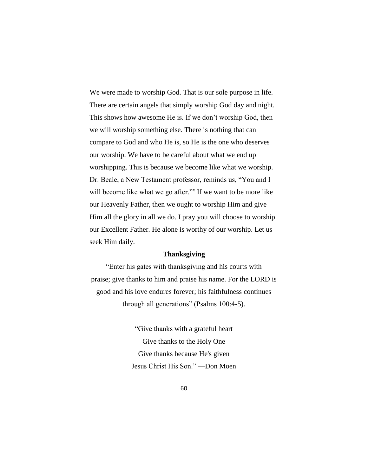We were made to worship God. That is our sole purpose in life. There are certain angels that simply worship God day and night. This shows how awesome He is. If we don't worship God, then we will worship something else. There is nothing that can compare to God and who He is, so He is the one who deserves our worship. We have to be careful about what we end up worshipping. This is because we become like what we worship. Dr. Beale, a New Testament professor, reminds us, "You and I will become like what we go after."<sup>X</sup> If we want to be more like our Heavenly Father, then we ought to worship Him and give Him all the glory in all we do. I pray you will choose to worship our Excellent Father. He alone is worthy of our worship. Let us seek Him daily.

## **Thanksgiving**

"Enter his gates with thanksgiving and his courts with praise; give thanks to him and praise his name. For the LORD is good and his love endures forever; his faithfulness continues through all generations" (Psalms 100:4-5).

> "Give thanks with a grateful heart Give thanks to the Holy One Give thanks because He's given Jesus Christ His Son." —Don Moen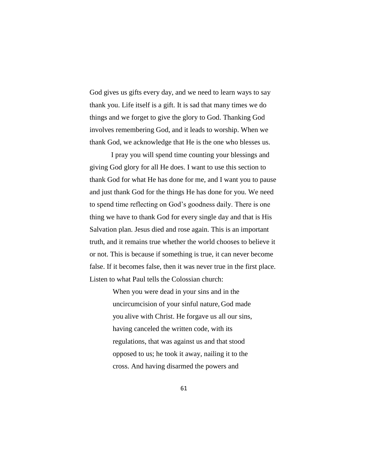God gives us gifts every day, and we need to learn ways to say thank you. Life itself is a gift. It is sad that many times we do things and we forget to give the glory to God. Thanking God involves remembering God, and it leads to worship. When we thank God, we acknowledge that He is the one who blesses us.

I pray you will spend time counting your blessings and giving God glory for all He does. I want to use this section to thank God for what He has done for me, and I want you to pause and just thank God for the things He has done for you. We need to spend time reflecting on God's goodness daily. There is one thing we have to thank God for every single day and that is His Salvation plan. Jesus died and rose again. This is an important truth, and it remains true whether the world chooses to believe it or not. This is because if something is true, it can never become false. If it becomes false, then it was never true in the first place. Listen to what Paul tells the Colossian church:

> When you were dead in your sins and in the uncircumcision of your sinful nature, God made you alive with Christ. He forgave us all our sins, having canceled the written code, with its regulations, that was against us and that stood opposed to us; he took it away, nailing it to the cross. And having disarmed the powers and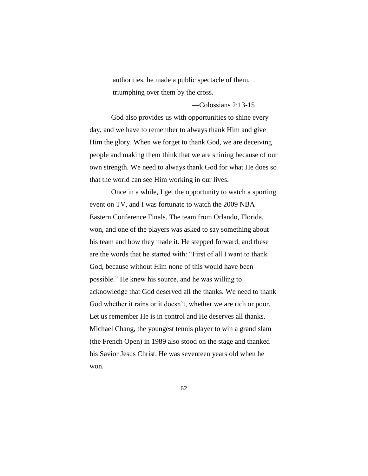authorities, he made a public spectacle of them, triumphing over them by the cross.

—Colossians 2:13-15

God also provides us with opportunities to shine every day, and we have to remember to always thank Him and give Him the glory. When we forget to thank God, we are deceiving people and making them think that we are shining because of our own strength. We need to always thank God for what He does so that the world can see Him working in our lives.

Once in a while, I get the opportunity to watch a sporting event on TV, and I was fortunate to watch the 2009 NBA Eastern Conference Finals. The team from Orlando, Florida, won, and one of the players was asked to say something about his team and how they made it. He stepped forward, and these are the words that he started with: "First of all I want to thank God, because without Him none of this would have been possible." He knew his source, and he was willing to acknowledge that God deserved all the thanks. We need to thank God whether it rains or it doesn't, whether we are rich or poor. Let us remember He is in control and He deserves all thanks. Michael Chang, the youngest tennis player to win a grand slam (the French Open) in 1989 also stood on the stage and thanked his Savior Jesus Christ. He was seventeen years old when he won.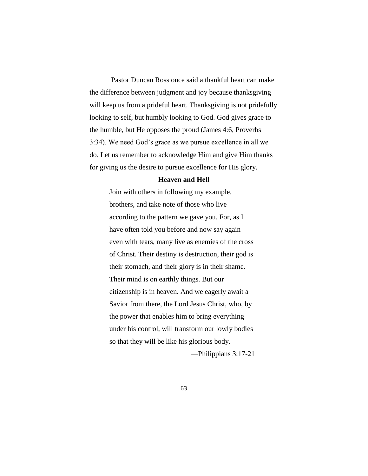Pastor Duncan Ross once said a thankful heart can make the difference between judgment and joy because thanksgiving will keep us from a prideful heart. Thanksgiving is not pridefully looking to self, but humbly looking to God. God gives grace to the humble, but He opposes the proud (James 4:6, Proverbs 3:34). We need God's grace as we pursue excellence in all we do. Let us remember to acknowledge Him and give Him thanks for giving us the desire to pursue excellence for His glory.

### **Heaven and Hell**

Join with others in following my example, brothers, and take note of those who live according to the pattern we gave you. For, as I have often told you before and now say again even with tears, many live as enemies of the cross of Christ. Their destiny is destruction, their god is their stomach, and their glory is in their shame. Their mind is on earthly things. But our citizenship is in heaven. And we eagerly await a Savior from there, the Lord Jesus Christ, who, by the power that enables him to bring everything under his control, will transform our lowly bodies so that they will be like his glorious body.

—Philippians 3:17-21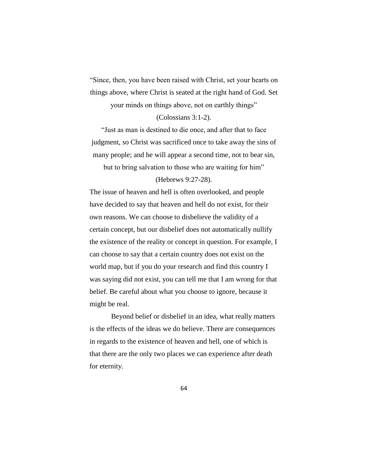"Since, then, you have been raised with Christ, set your hearts on things above, where Christ is seated at the right hand of God. Set your minds on things above, not on earthly things"

#### (Colossians 3:1-2).

"Just as man is destined to die once, and after that to face judgment, so Christ was sacrificed once to take away the sins of many people; and he will appear a second time, not to bear sin,

but to bring salvation to those who are waiting for him"

# (Hebrews 9:27-28).

The issue of heaven and hell is often overlooked, and people have decided to say that heaven and hell do not exist, for their own reasons. We can choose to disbelieve the validity of a certain concept, but our disbelief does not automatically nullify the existence of the reality or concept in question. For example, I can choose to say that a certain country does not exist on the world map, but if you do your research and find this country I was saying did not exist, you can tell me that I am wrong for that belief. Be careful about what you choose to ignore, because it might be real.

Beyond belief or disbelief in an idea, what really matters is the effects of the ideas we do believe. There are consequences in regards to the existence of heaven and hell, one of which is that there are the only two places we can experience after death for eternity.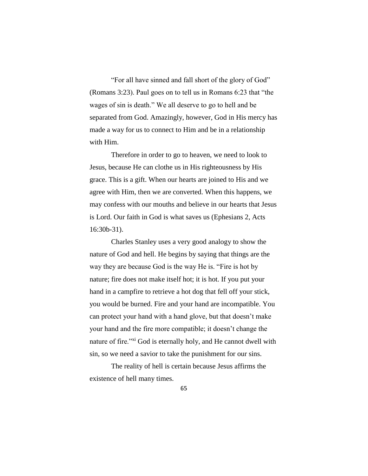"For all have sinned and fall short of the glory of God" (Romans 3:23). Paul goes on to tell us in Romans 6:23 that "the wages of sin is death." We all deserve to go to hell and be separated from God. Amazingly, however, God in His mercy has made a way for us to connect to Him and be in a relationship with Him.

Therefore in order to go to heaven, we need to look to Jesus, because He can clothe us in His righteousness by His grace. This is a gift. When our hearts are joined to His and we agree with Him, then we are converted. When this happens, we may confess with our mouths and believe in our hearts that Jesus is Lord. Our faith in God is what saves us (Ephesians 2, Acts 16:30b-31).

Charles Stanley uses a very good analogy to show the nature of God and hell. He begins by saying that things are the way they are because God is the way He is. "Fire is hot by nature; fire does not make itself hot; it is hot. If you put your hand in a campfire to retrieve a hot dog that fell off your stick, you would be burned. Fire and your hand are incompatible. You can protect your hand with a hand glove, but that doesn't make your hand and the fire more compatible; it doesn't change the nature of fire."<sup>xi</sup> God is eternally holy, and He cannot dwell with sin, so we need a savior to take the punishment for our sins.

The reality of hell is certain because Jesus affirms the existence of hell many times.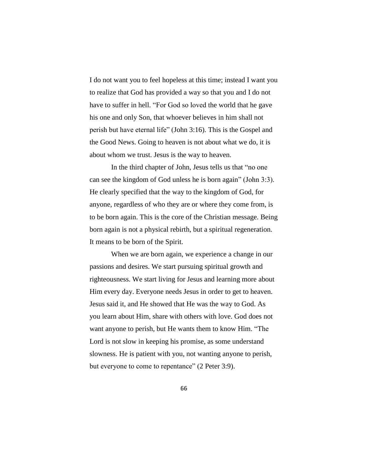I do not want you to feel hopeless at this time; instead I want you to realize that God has provided a way so that you and I do not have to suffer in hell. "For God so loved the world that he gave his one and only Son, that whoever believes in him shall not perish but have eternal life" (John 3:16). This is the Gospel and the Good News. Going to heaven is not about what we do, it is about whom we trust. Jesus is the way to heaven.

In the third chapter of John, Jesus tells us that "no one can see the kingdom of God unless he is born again" (John 3:3). He clearly specified that the way to the kingdom of God, for anyone, regardless of who they are or where they come from, is to be born again. This is the core of the Christian message. Being born again is not a physical rebirth, but a spiritual regeneration. It means to be born of the Spirit.

When we are born again, we experience a change in our passions and desires. We start pursuing spiritual growth and righteousness. We start living for Jesus and learning more about Him every day. Everyone needs Jesus in order to get to heaven. Jesus said it, and He showed that He was the way to God. As you learn about Him, share with others with love. God does not want anyone to perish, but He wants them to know Him. "The Lord is not slow in keeping his promise, as some understand slowness. He is patient with you, not wanting anyone to perish, but everyone to come to repentance" (2 Peter 3:9).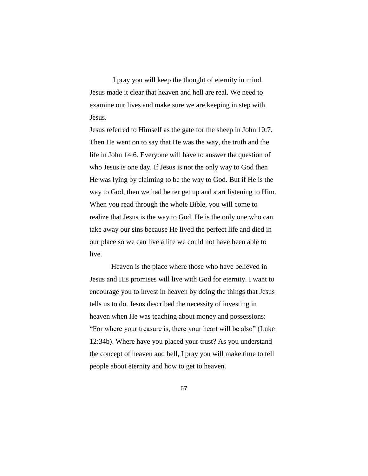I pray you will keep the thought of eternity in mind. Jesus made it clear that heaven and hell are real. We need to examine our lives and make sure we are keeping in step with Jesus.

Jesus referred to Himself as the gate for the sheep in John 10:7. Then He went on to say that He was the way, the truth and the life in John 14:6. Everyone will have to answer the question of who Jesus is one day. If Jesus is not the only way to God then He was lying by claiming to be the way to God. But if He is the way to God, then we had better get up and start listening to Him. When you read through the whole Bible, you will come to realize that Jesus is the way to God. He is the only one who can take away our sins because He lived the perfect life and died in our place so we can live a life we could not have been able to live.

Heaven is the place where those who have believed in Jesus and His promises will live with God for eternity. I want to encourage you to invest in heaven by doing the things that Jesus tells us to do. Jesus described the necessity of investing in heaven when He was teaching about money and possessions: "For where your treasure is, there your heart will be also" (Luke 12:34b). Where have you placed your trust? As you understand the concept of heaven and hell, I pray you will make time to tell people about eternity and how to get to heaven.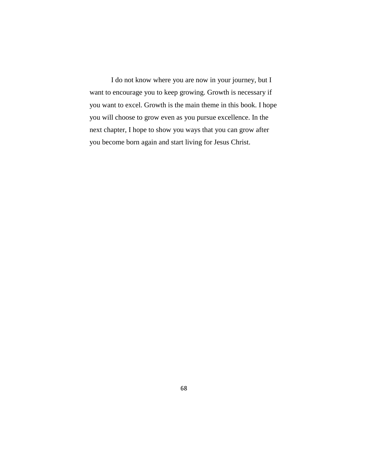I do not know where you are now in your journey, but I want to encourage you to keep growing. Growth is necessary if you want to excel. Growth is the main theme in this book. I hope you will choose to grow even as you pursue excellence. In the next chapter, I hope to show you ways that you can grow after you become born again and start living for Jesus Christ.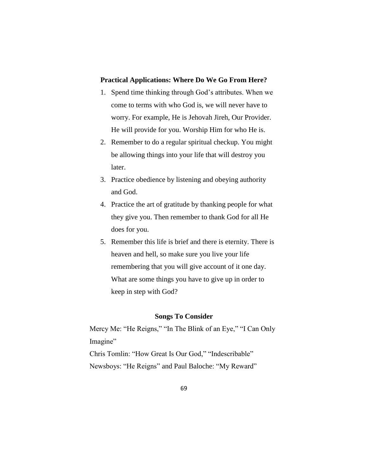# **Practical Applications: Where Do We Go From Here?**

- 1. Spend time thinking through God's attributes. When we come to terms with who God is, we will never have to worry. For example, He is Jehovah Jireh, Our Provider. He will provide for you. Worship Him for who He is.
- 2. Remember to do a regular spiritual checkup. You might be allowing things into your life that will destroy you later.
- 3. Practice obedience by listening and obeying authority and God.
- 4. Practice the art of gratitude by thanking people for what they give you. Then remember to thank God for all He does for you.
- 5. Remember this life is brief and there is eternity. There is heaven and hell, so make sure you live your life remembering that you will give account of it one day. What are some things you have to give up in order to keep in step with God?

## **Songs To Consider**

Mercy Me: "He Reigns," "In The Blink of an Eye," "I Can Only Imagine"

Chris Tomlin: "How Great Is Our God," "Indescribable" Newsboys: "He Reigns" and Paul Baloche: "My Reward"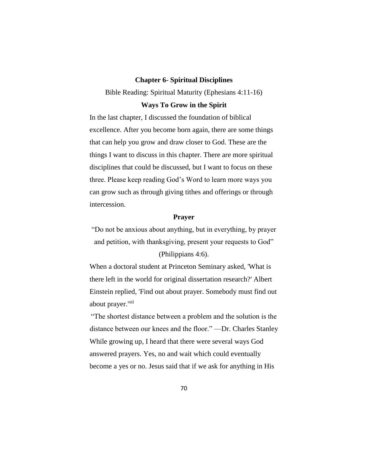#### **Chapter 6- Spiritual Disciplines**

Bible Reading: Spiritual Maturity (Ephesians 4:11-16)

#### **Ways To Grow in the Spirit**

In the last chapter, I discussed the foundation of biblical excellence. After you become born again, there are some things that can help you grow and draw closer to God. These are the things I want to discuss in this chapter. There are more spiritual disciplines that could be discussed, but I want to focus on these three. Please keep reading God's Word to learn more ways you can grow such as through giving tithes and offerings or through intercession.

#### **Prayer**

"Do not be anxious about anything, but in everything, by prayer and petition, with thanksgiving, present your requests to God"

# (Philippians 4:6).

When a doctoral student at Princeton Seminary asked, 'What is there left in the world for original dissertation research?' Albert Einstein replied, 'Find out about prayer. Somebody must find out about prayer.'<sup>xii</sup>

"The shortest distance between a problem and the solution is the distance between our knees and the floor." —Dr. Charles Stanley While growing up, I heard that there were several ways God answered prayers. Yes, no and wait which could eventually become a yes or no. Jesus said that if we ask for anything in His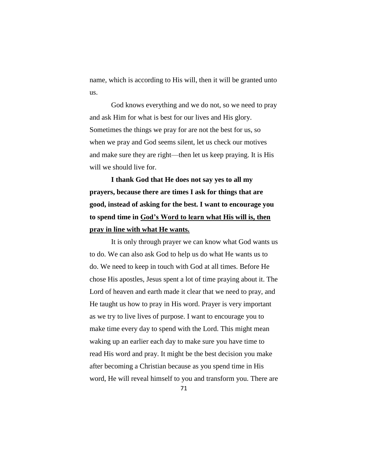name, which is according to His will, then it will be granted unto us.

God knows everything and we do not, so we need to pray and ask Him for what is best for our lives and His glory. Sometimes the things we pray for are not the best for us, so when we pray and God seems silent, let us check our motives and make sure they are right—then let us keep praying. It is His will we should live for.

**I thank God that He does not say yes to all my prayers, because there are times I ask for things that are good, instead of asking for the best. I want to encourage you to spend time in God's Word to learn what His will is, then pray in line with what He wants.**

It is only through prayer we can know what God wants us to do. We can also ask God to help us do what He wants us to do. We need to keep in touch with God at all times. Before He chose His apostles, Jesus spent a lot of time praying about it. The Lord of heaven and earth made it clear that we need to pray, and He taught us how to pray in His word. Prayer is very important as we try to live lives of purpose. I want to encourage you to make time every day to spend with the Lord. This might mean waking up an earlier each day to make sure you have time to read His word and pray. It might be the best decision you make after becoming a Christian because as you spend time in His word, He will reveal himself to you and transform you. There are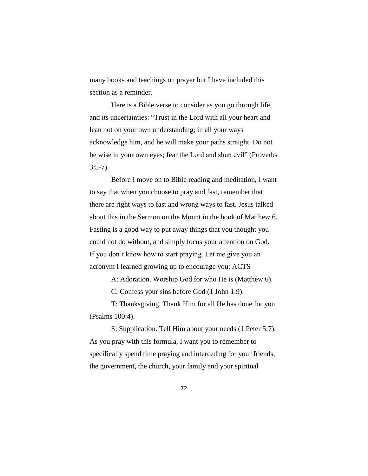many books and teachings on prayer but I have included this section as a reminder.

Here is a Bible verse to consider as you go through life and its uncertainties: "Trust in the Lord with all your heart and lean not on your own understanding; in all your ways acknowledge him, and he will make your paths straight. Do not be wise in your own eyes; fear the Lord and shun evil" (Proverbs  $3:5-7$ ).

Before I move on to Bible reading and meditation, I want to say that when you choose to pray and fast, remember that there are right ways to fast and wrong ways to fast. Jesus talked about this in the Sermon on the Mount in the book of Matthew 6. Fasting is a good way to put away things that you thought you could not do without, and simply focus your attention on God. If you don't know how to start praying. Let me give you an acronym I learned growing up to encourage you: ACTS

A: Adoration. Worship God for who He is (Matthew 6).

C: Confess your sins before God (1 John 1:9).

T: Thanksgiving. Thank Him for all He has done for you (Psalms 100:4).

S: Supplication. Tell Him about your needs (1 Peter 5:7). As you pray with this formula, I want you to remember to specifically spend time praying and interceding for your friends, the government, the church, your family and your spiritual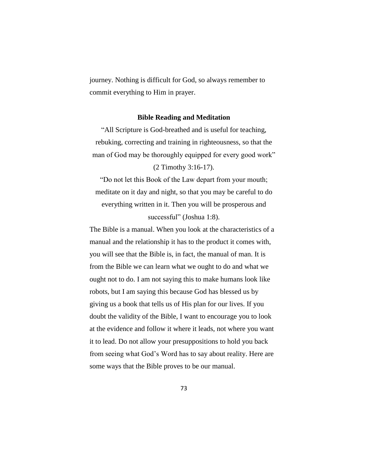journey. Nothing is difficult for God, so always remember to commit everything to Him in prayer.

#### **Bible Reading and Meditation**

"All Scripture is God-breathed and is useful for teaching, rebuking, correcting and training in righteousness, so that the man of God may be thoroughly equipped for every good work" (2 Timothy 3:16-17).

"Do not let this Book of the Law depart from your mouth; meditate on it day and night, so that you may be careful to do everything written in it. Then you will be prosperous and successful" (Joshua 1:8).

The Bible is a manual. When you look at the characteristics of a manual and the relationship it has to the product it comes with, you will see that the Bible is, in fact, the manual of man. It is from the Bible we can learn what we ought to do and what we ought not to do. I am not saying this to make humans look like robots, but I am saying this because God has blessed us by giving us a book that tells us of His plan for our lives. If you doubt the validity of the Bible, I want to encourage you to look at the evidence and follow it where it leads, not where you want it to lead. Do not allow your presuppositions to hold you back from seeing what God's Word has to say about reality. Here are some ways that the Bible proves to be our manual.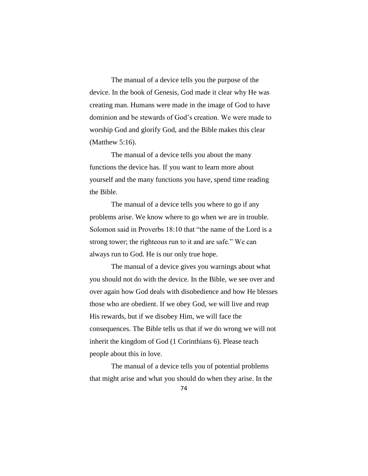The manual of a device tells you the purpose of the device. In the book of Genesis, God made it clear why He was creating man. Humans were made in the image of God to have dominion and be stewards of God's creation. We were made to worship God and glorify God, and the Bible makes this clear (Matthew 5:16).

The manual of a device tells you about the many functions the device has. If you want to learn more about yourself and the many functions you have, spend time reading the Bible.

The manual of a device tells you where to go if any problems arise. We know where to go when we are in trouble. Solomon said in Proverbs 18:10 that "the name of the Lord is a strong tower; the righteous run to it and are safe." We can always run to God. He is our only true hope.

The manual of a device gives you warnings about what you should not do with the device. In the Bible, we see over and over again how God deals with disobedience and how He blesses those who are obedient. If we obey God, we will live and reap His rewards, but if we disobey Him, we will face the consequences. The Bible tells us that if we do wrong we will not inherit the kingdom of God (1 Corinthians 6). Please teach people about this in love.

The manual of a device tells you of potential problems that might arise and what you should do when they arise. In the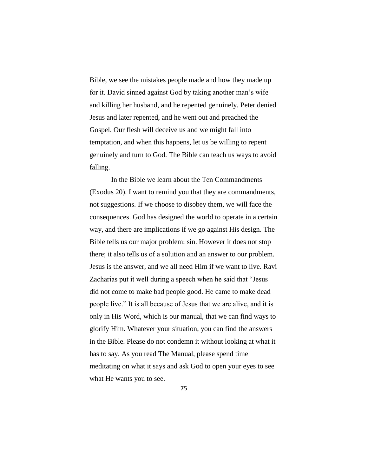Bible, we see the mistakes people made and how they made up for it. David sinned against God by taking another man's wife and killing her husband, and he repented genuinely. Peter denied Jesus and later repented, and he went out and preached the Gospel. Our flesh will deceive us and we might fall into temptation, and when this happens, let us be willing to repent genuinely and turn to God. The Bible can teach us ways to avoid falling.

In the Bible we learn about the Ten Commandments (Exodus 20). I want to remind you that they are commandments, not suggestions. If we choose to disobey them, we will face the consequences. God has designed the world to operate in a certain way, and there are implications if we go against His design. The Bible tells us our major problem: sin. However it does not stop there; it also tells us of a solution and an answer to our problem. Jesus is the answer, and we all need Him if we want to live. Ravi Zacharias put it well during a speech when he said that "Jesus did not come to make bad people good. He came to make dead people live." It is all because of Jesus that we are alive, and it is only in His Word, which is our manual, that we can find ways to glorify Him. Whatever your situation, you can find the answers in the Bible. Please do not condemn it without looking at what it has to say. As you read The Manual, please spend time meditating on what it says and ask God to open your eyes to see what He wants you to see.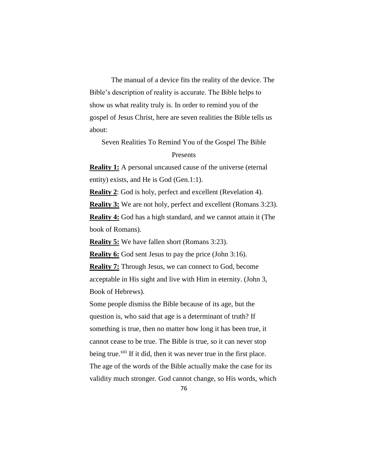The manual of a device fits the reality of the device. The Bible's description of reality is accurate. The Bible helps to show us what reality truly is. In order to remind you of the gospel of Jesus Christ, here are seven realities the Bible tells us about:

Seven Realities To Remind You of the Gospel The Bible

# Presents

**Reality 1:** A personal uncaused cause of the universe (eternal entity) exists, and He is God (Gen.1:1).

**Reality 2**: God is holy, perfect and excellent (Revelation 4).

**Reality 3:** We are not holy, perfect and excellent (Romans 3:23). **Reality 4:** God has a high standard, and we cannot attain it (The book of Romans).

**Reality 5:** We have fallen short (Romans 3:23).

**Reality 6:** God sent Jesus to pay the price (John 3:16).

**Reality 7:** Through Jesus, we can connect to God, become acceptable in His sight and live with Him in eternity. (John 3, Book of Hebrews).

Some people dismiss the Bible because of its age, but the question is, who said that age is a determinant of truth? If something is true, then no matter how long it has been true, it cannot cease to be true. The Bible is true, so it can never stop being true.<sup>xiii</sup> If it did, then it was never true in the first place. The age of the words of the Bible actually make the case for its validity much stronger. God cannot change, so His words, which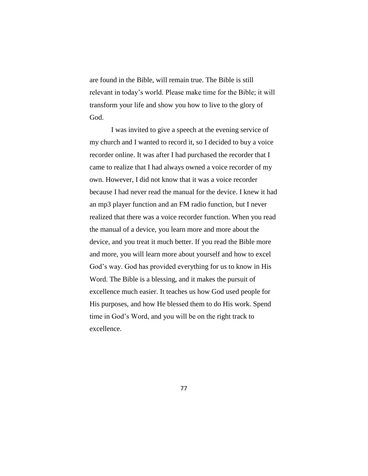are found in the Bible, will remain true. The Bible is still relevant in today's world. Please make time for the Bible; it will transform your life and show you how to live to the glory of God.

I was invited to give a speech at the evening service of my church and I wanted to record it, so I decided to buy a voice recorder online. It was after I had purchased the recorder that I came to realize that I had always owned a voice recorder of my own. However, I did not know that it was a voice recorder because I had never read the manual for the device. I knew it had an mp3 player function and an FM radio function, but I never realized that there was a voice recorder function. When you read the manual of a device, you learn more and more about the device, and you treat it much better. If you read the Bible more and more, you will learn more about yourself and how to excel God's way. God has provided everything for us to know in His Word. The Bible is a blessing, and it makes the pursuit of excellence much easier. It teaches us how God used people for His purposes, and how He blessed them to do His work. Spend time in God's Word, and you will be on the right track to excellence.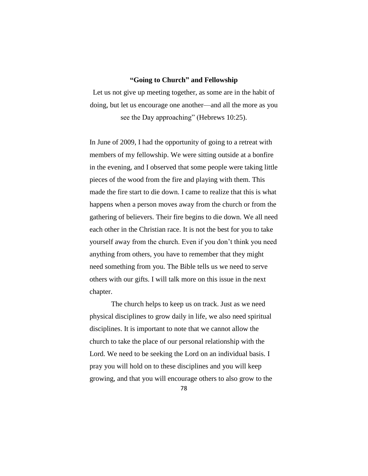# **"Going to Church" and Fellowship**

Let us not give up meeting together, as some are in the habit of doing, but let us encourage one another—and all the more as you see the Day approaching" (Hebrews 10:25).

In June of 2009, I had the opportunity of going to a retreat with members of my fellowship. We were sitting outside at a bonfire in the evening, and I observed that some people were taking little pieces of the wood from the fire and playing with them. This made the fire start to die down. I came to realize that this is what happens when a person moves away from the church or from the gathering of believers. Their fire begins to die down. We all need each other in the Christian race. It is not the best for you to take yourself away from the church. Even if you don't think you need anything from others, you have to remember that they might need something from you. The Bible tells us we need to serve others with our gifts. I will talk more on this issue in the next chapter.

The church helps to keep us on track. Just as we need physical disciplines to grow daily in life, we also need spiritual disciplines. It is important to note that we cannot allow the church to take the place of our personal relationship with the Lord. We need to be seeking the Lord on an individual basis. I pray you will hold on to these disciplines and you will keep growing, and that you will encourage others to also grow to the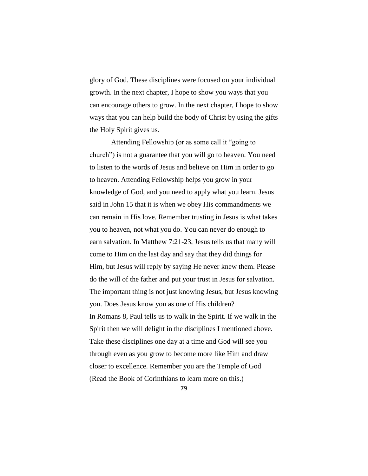glory of God. These disciplines were focused on your individual growth. In the next chapter, I hope to show you ways that you can encourage others to grow. In the next chapter, I hope to show ways that you can help build the body of Christ by using the gifts the Holy Spirit gives us.

Attending Fellowship (or as some call it "going to church") is not a guarantee that you will go to heaven. You need to listen to the words of Jesus and believe on Him in order to go to heaven. Attending Fellowship helps you grow in your knowledge of God, and you need to apply what you learn. Jesus said in John 15 that it is when we obey His commandments we can remain in His love. Remember trusting in Jesus is what takes you to heaven, not what you do. You can never do enough to earn salvation. In Matthew 7:21-23, Jesus tells us that many will come to Him on the last day and say that they did things for Him, but Jesus will reply by saying He never knew them. Please do the will of the father and put your trust in Jesus for salvation. The important thing is not just knowing Jesus, but Jesus knowing you. Does Jesus know you as one of His children? In Romans 8, Paul tells us to walk in the Spirit. If we walk in the Spirit then we will delight in the disciplines I mentioned above. Take these disciplines one day at a time and God will see you through even as you grow to become more like Him and draw closer to excellence. Remember you are the Temple of God (Read the Book of Corinthians to learn more on this.)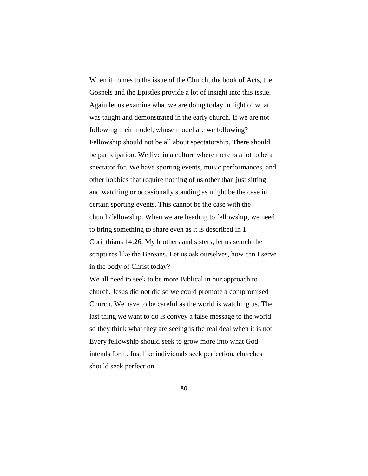When it comes to the issue of the Church, the book of Acts, the Gospels and the Epistles provide a lot of insight into this issue. Again let us examine what we are doing today in light of what was taught and demonstrated in the early church. If we are not following their model, whose model are we following? Fellowship should not be all about spectatorship. There should be participation. We live in a culture where there is a lot to be a spectator for. We have sporting events, music performances, and other hobbies that require nothing of us other than just sitting and watching or occasionally standing as might be the case in certain sporting events. This cannot be the case with the church/fellowship. When we are heading to fellowship, we need to bring something to share even as it is described in 1 Corinthians 14:26. My brothers and sisters, let us search the scriptures like the Bereans. Let us ask ourselves, how can I serve in the body of Christ today?

We all need to seek to be more Biblical in our approach to church. Jesus did not die so we could promote a compromised Church. We have to be careful as the world is watching us. The last thing we want to do is convey a false message to the world so they think what they are seeing is the real deal when it is not. Every fellowship should seek to grow more into what God intends for it. Just like individuals seek perfection, churches should seek perfection.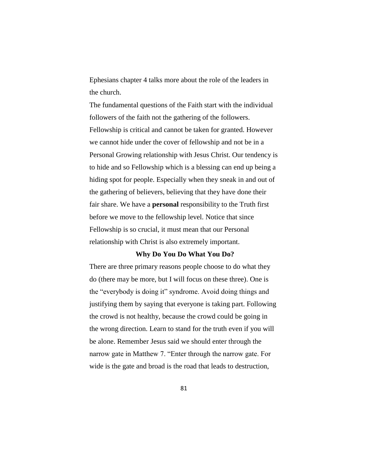Ephesians chapter 4 talks more about the role of the leaders in the church.

The fundamental questions of the Faith start with the individual followers of the faith not the gathering of the followers. Fellowship is critical and cannot be taken for granted. However we cannot hide under the cover of fellowship and not be in a Personal Growing relationship with Jesus Christ. Our tendency is to hide and so Fellowship which is a blessing can end up being a hiding spot for people. Especially when they sneak in and out of the gathering of believers, believing that they have done their fair share. We have a **personal** responsibility to the Truth first before we move to the fellowship level. Notice that since Fellowship is so crucial, it must mean that our Personal relationship with Christ is also extremely important.

#### **Why Do You Do What You Do?**

There are three primary reasons people choose to do what they do (there may be more, but I will focus on these three). One is the "everybody is doing it" syndrome. Avoid doing things and justifying them by saying that everyone is taking part. Following the crowd is not healthy, because the crowd could be going in the wrong direction. Learn to stand for the truth even if you will be alone. Remember Jesus said we should enter through the narrow gate in Matthew 7. "Enter through the narrow gate. For wide is the gate and broad is the road that leads to destruction,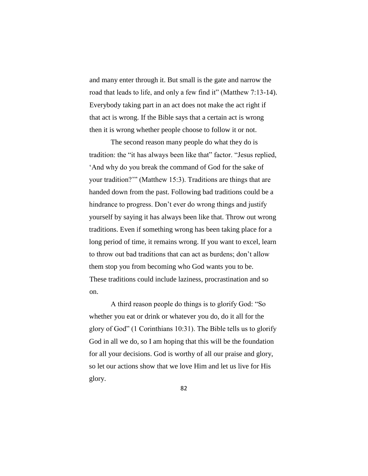and many enter through it. But small is the gate and narrow the road that leads to life, and only a few find it" (Matthew 7:13-14). Everybody taking part in an act does not make the act right if that act is wrong. If the Bible says that a certain act is wrong then it is wrong whether people choose to follow it or not.

The second reason many people do what they do is tradition: the "it has always been like that" factor. "Jesus replied, 'And why do you break the command of God for the sake of your tradition?'" (Matthew 15:3). Traditions are things that are handed down from the past. Following bad traditions could be a hindrance to progress. Don't ever do wrong things and justify yourself by saying it has always been like that. Throw out wrong traditions. Even if something wrong has been taking place for a long period of time, it remains wrong. If you want to excel, learn to throw out bad traditions that can act as burdens; don't allow them stop you from becoming who God wants you to be. These traditions could include laziness, procrastination and so on.

A third reason people do things is to glorify God: "So whether you eat or drink or whatever you do, do it all for the glory of God" (1 Corinthians 10:31). The Bible tells us to glorify God in all we do, so I am hoping that this will be the foundation for all your decisions. God is worthy of all our praise and glory, so let our actions show that we love Him and let us live for His glory.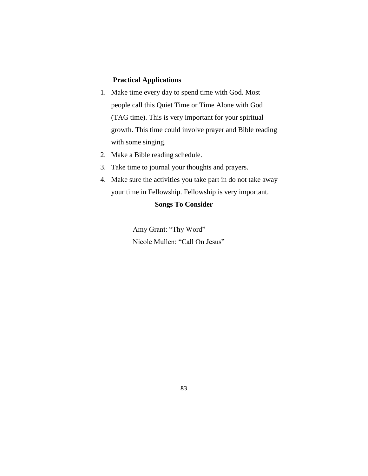# **Practical Applications**

- 1. Make time every day to spend time with God. Most people call this Quiet Time or Time Alone with God (TAG time). This is very important for your spiritual growth. This time could involve prayer and Bible reading with some singing.
- 2. Make a Bible reading schedule.
- 3. Take time to journal your thoughts and prayers.
- 4. Make sure the activities you take part in do not take away your time in Fellowship. Fellowship is very important.

# **Songs To Consider**

Amy Grant: "Thy Word" Nicole Mullen: "Call On Jesus"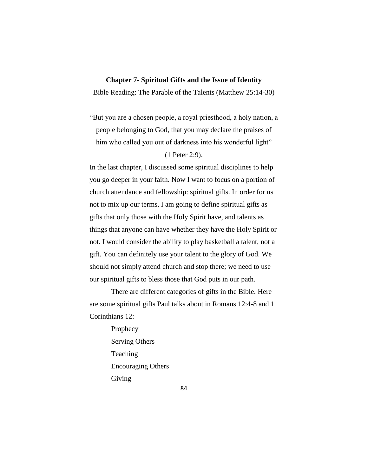#### **Chapter 7- Spiritual Gifts and the Issue of Identity**

Bible Reading: The Parable of the Talents (Matthew 25:14-30)

"But you are a chosen people, a royal priesthood, a holy nation, a people belonging to God, that you may declare the praises of him who called you out of darkness into his wonderful light"

# (1 Peter 2:9).

In the last chapter, I discussed some spiritual disciplines to help you go deeper in your faith. Now I want to focus on a portion of church attendance and fellowship: spiritual gifts. In order for us not to mix up our terms, I am going to define spiritual gifts as gifts that only those with the Holy Spirit have, and talents as things that anyone can have whether they have the Holy Spirit or not. I would consider the ability to play basketball a talent, not a gift. You can definitely use your talent to the glory of God. We should not simply attend church and stop there; we need to use our spiritual gifts to bless those that God puts in our path.

There are different categories of gifts in the Bible. Here are some spiritual gifts Paul talks about in Romans 12:4-8 and 1 Corinthians 12:

> Prophecy Serving Others Teaching Encouraging Others Giving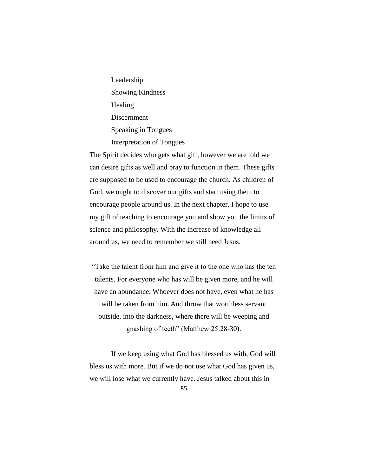Leadership Showing Kindness Healing Discernment Speaking in Tongues Interpretation of Tongues

The Spirit decides who gets what gift, however we are told we can desire gifts as well and pray to function in them. These gifts are supposed to be used to encourage the church. As children of God, we ought to discover our gifts and start using them to encourage people around us. In the next chapter, I hope to use my gift of teaching to encourage you and show you the limits of science and philosophy. With the increase of knowledge all around us, we need to remember we still need Jesus.

"Take the talent from him and give it to the one who has the ten talents. For everyone who has will be given more, and he will have an abundance. Whoever does not have, even what he has will be taken from him. And throw that worthless servant outside, into the darkness, where there will be weeping and gnashing of teeth" (Matthew 25:28-30).

If we keep using what God has blessed us with, God will bless us with more. But if we do not use what God has given us, we will lose what we currently have. Jesus talked about this in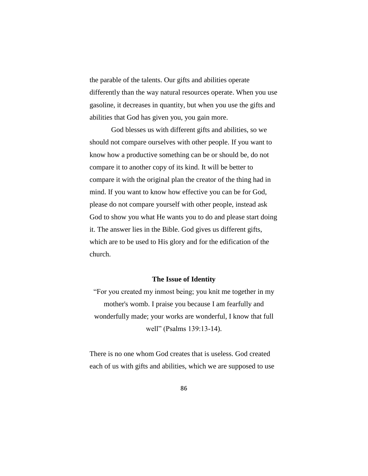the parable of the talents. Our gifts and abilities operate differently than the way natural resources operate. When you use gasoline, it decreases in quantity, but when you use the gifts and abilities that God has given you, you gain more.

God blesses us with different gifts and abilities, so we should not compare ourselves with other people. If you want to know how a productive something can be or should be, do not compare it to another copy of its kind. It will be better to compare it with the original plan the creator of the thing had in mind. If you want to know how effective you can be for God, please do not compare yourself with other people, instead ask God to show you what He wants you to do and please start doing it. The answer lies in the Bible. God gives us different gifts, which are to be used to His glory and for the edification of the church.

#### **The Issue of Identity**

"For you created my inmost being; you knit me together in my mother's womb. I praise you because I am fearfully and wonderfully made; your works are wonderful, I know that full well" (Psalms 139:13-14).

There is no one whom God creates that is useless. God created each of us with gifts and abilities, which we are supposed to use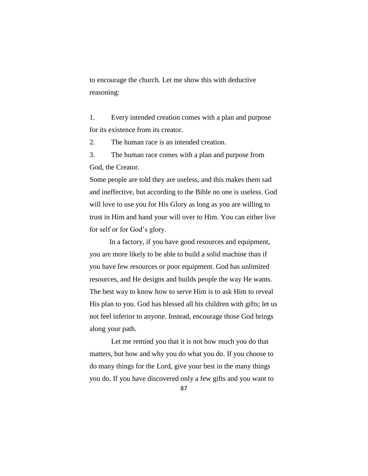to encourage the church. Let me show this with deductive reasoning:

1. Every intended creation comes with a plan and purpose for its existence from its creator.

2. The human race is an intended creation.

3. The human race comes with a plan and purpose from God, the Creator.

Some people are told they are useless, and this makes them sad and ineffective, but according to the Bible no one is useless. God will love to use you for His Glory as long as you are willing to trust in Him and hand your will over to Him. You can either live for self or for God's glory.

In a factory, if you have good resources and equipment, you are more likely to be able to build a solid machine than if you have few resources or poor equipment. God has unlimited resources, and He designs and builds people the way He wants. The best way to know how to serve Him is to ask Him to reveal His plan to you. God has blessed all his children with gifts; let us not feel inferior to anyone. Instead, encourage those God brings along your path.

Let me remind you that it is not how much you do that matters, but how and why you do what you do. If you choose to do many things for the Lord, give your best in the many things you do. If you have discovered only a few gifts and you want to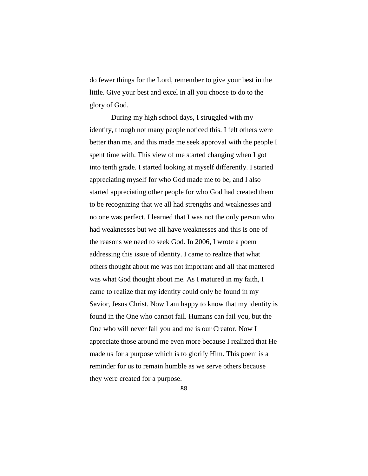do fewer things for the Lord, remember to give your best in the little. Give your best and excel in all you choose to do to the glory of God.

During my high school days, I struggled with my identity, though not many people noticed this. I felt others were better than me, and this made me seek approval with the people I spent time with. This view of me started changing when I got into tenth grade. I started looking at myself differently. I started appreciating myself for who God made me to be, and I also started appreciating other people for who God had created them to be recognizing that we all had strengths and weaknesses and no one was perfect. I learned that I was not the only person who had weaknesses but we all have weaknesses and this is one of the reasons we need to seek God. In 2006, I wrote a poem addressing this issue of identity. I came to realize that what others thought about me was not important and all that mattered was what God thought about me. As I matured in my faith, I came to realize that my identity could only be found in my Savior, Jesus Christ. Now I am happy to know that my identity is found in the One who cannot fail. Humans can fail you, but the One who will never fail you and me is our Creator. Now I appreciate those around me even more because I realized that He made us for a purpose which is to glorify Him. This poem is a reminder for us to remain humble as we serve others because they were created for a purpose.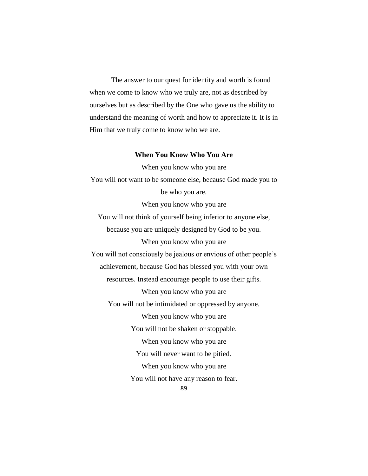The answer to our quest for identity and worth is found when we come to know who we truly are, not as described by ourselves but as described by the One who gave us the ability to understand the meaning of worth and how to appreciate it. It is in Him that we truly come to know who we are.

#### **When You Know Who You Are**

When you know who you are You will not want to be someone else, because God made you to be who you are. When you know who you are You will not think of yourself being inferior to anyone else, because you are uniquely designed by God to be you. When you know who you are You will not consciously be jealous or envious of other people's achievement, because God has blessed you with your own resources. Instead encourage people to use their gifts. When you know who you are You will not be intimidated or oppressed by anyone. When you know who you are You will not be shaken or stoppable. When you know who you are You will never want to be pitied. When you know who you are You will not have any reason to fear.

89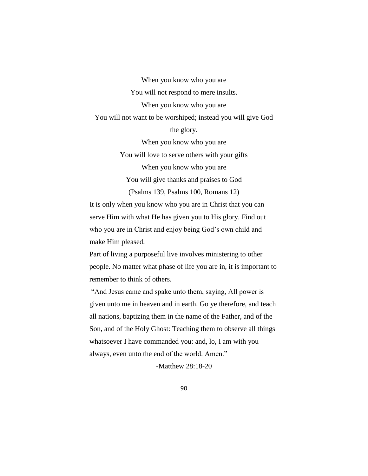When you know who you are You will not respond to mere insults. When you know who you are You will not want to be worshiped; instead you will give God the glory. When you know who you are You will love to serve others with your gifts When you know who you are You will give thanks and praises to God (Psalms 139, Psalms 100, Romans 12)

It is only when you know who you are in Christ that you can serve Him with what He has given you to His glory. Find out who you are in Christ and enjoy being God's own child and make Him pleased.

Part of living a purposeful live involves ministering to other people. No matter what phase of life you are in, it is important to remember to think of others.

"And Jesus came and spake unto them, saying, All power is given unto me in heaven and in earth. Go ye therefore, and teach all nations, baptizing them in the name of the Father, and of the Son, and of the Holy Ghost: Teaching them to observe all things whatsoever I have commanded you: and, lo, I am with you always, even unto the end of the world. Amen."

-Matthew 28:18-20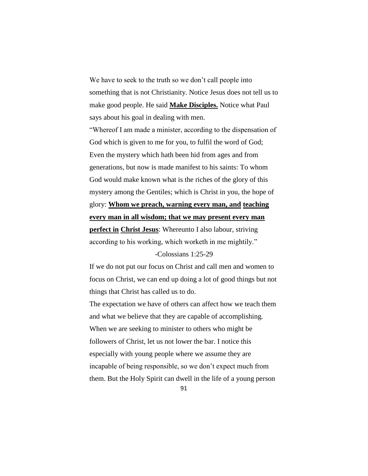We have to seek to the truth so we don't call people into something that is not Christianity. Notice Jesus does not tell us to make good people. He said **Make Disciples.** Notice what Paul says about his goal in dealing with men.

"Whereof I am made a minister, according to the dispensation of God which is given to me for you, to fulfil the word of God; Even the mystery which hath been hid from ages and from generations, but now is made manifest to his saints: To whom God would make known what is the riches of the glory of this mystery among the Gentiles; which is Christ in you, the hope of glory: **Whom we preach, warning every man, and teaching every man in all wisdom; that we may present every man perfect in Christ Jesus**: Whereunto I also labour, striving according to his working, which worketh in me mightily."

### -Colossians 1:25-29

If we do not put our focus on Christ and call men and women to focus on Christ, we can end up doing a lot of good things but not things that Christ has called us to do.

The expectation we have of others can affect how we teach them and what we believe that they are capable of accomplishing. When we are seeking to minister to others who might be followers of Christ, let us not lower the bar. I notice this especially with young people where we assume they are incapable of being responsible, so we don't expect much from them. But the Holy Spirit can dwell in the life of a young person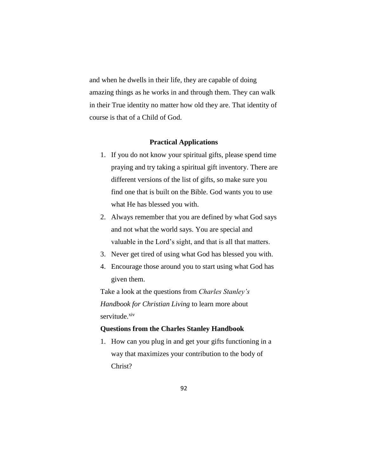and when he dwells in their life, they are capable of doing amazing things as he works in and through them. They can walk in their True identity no matter how old they are. That identity of course is that of a Child of God.

# **Practical Applications**

- 1. If you do not know your spiritual gifts, please spend time praying and try taking a spiritual gift inventory. There are different versions of the list of gifts, so make sure you find one that is built on the Bible. God wants you to use what He has blessed you with.
- 2. Always remember that you are defined by what God says and not what the world says. You are special and valuable in the Lord's sight, and that is all that matters.
- 3. Never get tired of using what God has blessed you with.
- 4. Encourage those around you to start using what God has given them.

Take a look at the questions from *Charles Stanley's Handbook for Christian Living* to learn more about servitude.<sup>xiv</sup>

#### **Questions from the Charles Stanley Handbook**

1. How can you plug in and get your gifts functioning in a way that maximizes your contribution to the body of Christ?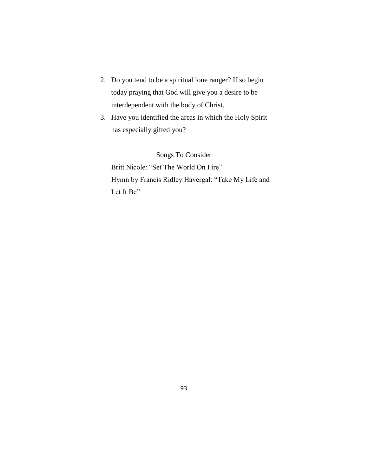- 2. Do you tend to be a spiritual lone ranger? If so begin today praying that God will give you a desire to be interdependent with the body of Christ.
- 3. Have you identified the areas in which the Holy Spirit has especially gifted you?

Songs To Consider Britt Nicole: "Set The World On Fire" Hymn by Francis Ridley Havergal: "Take My Life and Let It Be"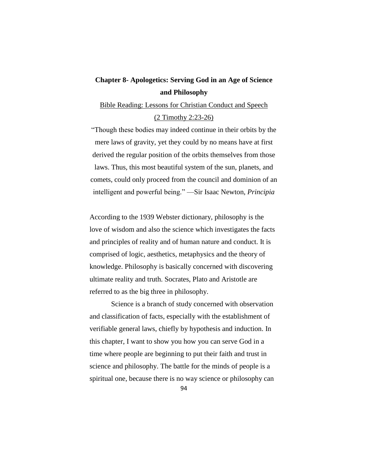# **Chapter 8- Apologetics: Serving God in an Age of Science and Philosophy**

#### Bible Reading: Lessons for Christian Conduct and Speech

#### (2 Timothy 2:23-26)

"Though these bodies may indeed continue in their orbits by the mere laws of gravity, yet they could by no means have at first derived the regular position of the orbits themselves from those laws. Thus, this most beautiful system of the sun, planets, and comets, could only proceed from the council and dominion of an intelligent and powerful being." —Sir Isaac Newton, *Principia*

According to the 1939 Webster dictionary, philosophy is the love of wisdom and also the science which investigates the facts and principles of reality and of human nature and conduct. It is comprised of logic, aesthetics, metaphysics and the theory of knowledge. Philosophy is basically concerned with discovering ultimate reality and truth. Socrates, Plato and Aristotle are referred to as the big three in philosophy.

Science is a branch of study concerned with observation and classification of facts, especially with the establishment of verifiable general laws, chiefly by hypothesis and induction. In this chapter, I want to show you how you can serve God in a time where people are beginning to put their faith and trust in science and philosophy. The battle for the minds of people is a spiritual one, because there is no way science or philosophy can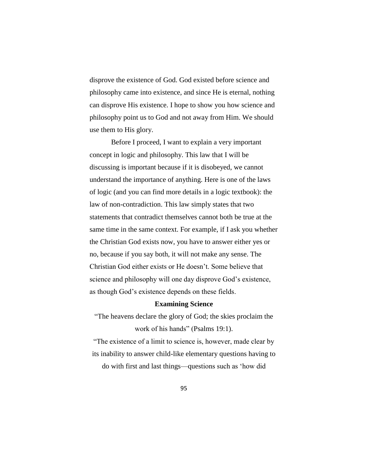disprove the existence of God. God existed before science and philosophy came into existence, and since He is eternal, nothing can disprove His existence. I hope to show you how science and philosophy point us to God and not away from Him. We should use them to His glory.

Before I proceed, I want to explain a very important concept in logic and philosophy. This law that I will be discussing is important because if it is disobeyed, we cannot understand the importance of anything. Here is one of the laws of logic (and you can find more details in a logic textbook): the law of non-contradiction. This law simply states that two statements that contradict themselves cannot both be true at the same time in the same context. For example, if I ask you whether the Christian God exists now, you have to answer either yes or no, because if you say both, it will not make any sense. The Christian God either exists or He doesn't. Some believe that science and philosophy will one day disprove God's existence, as though God's existence depends on these fields.

# **Examining Science**

"The heavens declare the glory of God; the skies proclaim the work of his hands" (Psalms 19:1).

"The existence of a limit to science is, however, made clear by its inability to answer child-like elementary questions having to do with first and last things—questions such as 'how did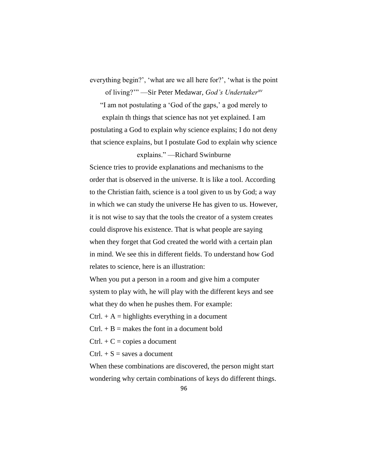everything begin?', 'what are we all here for?', 'what is the point of living?'" —Sir Peter Medawar, *God's Undertakerxv* "I am not postulating a 'God of the gaps,' a god merely to explain th things that science has not yet explained. I am postulating a God to explain why science explains; I do not deny that science explains, but I postulate God to explain why science

explains." —Richard Swinburne

Science tries to provide explanations and mechanisms to the order that is observed in the universe. It is like a tool. According to the Christian faith, science is a tool given to us by God; a way in which we can study the universe He has given to us. However, it is not wise to say that the tools the creator of a system creates could disprove his existence. That is what people are saying when they forget that God created the world with a certain plan in mind. We see this in different fields. To understand how God relates to science, here is an illustration:

When you put a person in a room and give him a computer system to play with, he will play with the different keys and see what they do when he pushes them. For example:

 $Ctrl. + A = high lights everything in a document$ 

 $Ctrl. + B =$  makes the font in a document bold

 $Ctrl. + C = \text{copies a document}$ 

 $Ctrl. + S =$  saves a document

When these combinations are discovered, the person might start wondering why certain combinations of keys do different things.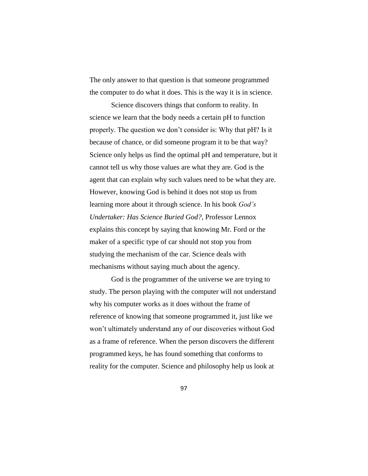The only answer to that question is that someone programmed the computer to do what it does. This is the way it is in science.

Science discovers things that conform to reality. In science we learn that the body needs a certain pH to function properly. The question we don't consider is: Why that pH? Is it because of chance, or did someone program it to be that way? Science only helps us find the optimal pH and temperature, but it cannot tell us why those values are what they are. God is the agent that can explain why such values need to be what they are. However, knowing God is behind it does not stop us from learning more about it through science. In his book *God's Undertaker: Has Science Buried God?*, Professor Lennox explains this concept by saying that knowing Mr. Ford or the maker of a specific type of car should not stop you from studying the mechanism of the car. Science deals with mechanisms without saying much about the agency.

God is the programmer of the universe we are trying to study. The person playing with the computer will not understand why his computer works as it does without the frame of reference of knowing that someone programmed it, just like we won't ultimately understand any of our discoveries without God as a frame of reference. When the person discovers the different programmed keys, he has found something that conforms to reality for the computer. Science and philosophy help us look at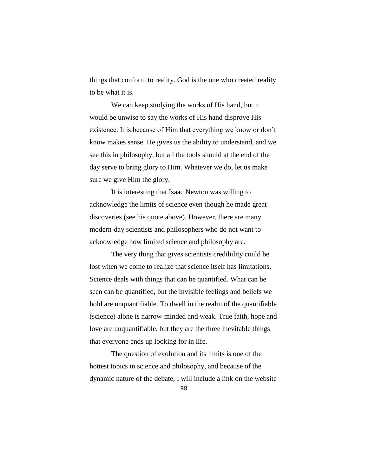things that conform to reality. God is the one who created reality to be what it is.

We can keep studying the works of His hand, but it would be unwise to say the works of His hand disprove His existence. It is because of Him that everything we know or don't know makes sense. He gives us the ability to understand, and we see this in philosophy, but all the tools should at the end of the day serve to bring glory to Him. Whatever we do, let us make sure we give Him the glory.

It is interesting that Isaac Newton was willing to acknowledge the limits of science even though he made great discoveries (see his quote above). However, there are many modern-day scientists and philosophers who do not want to acknowledge how limited science and philosophy are.

The very thing that gives scientists credibility could be lost when we come to realize that science itself has limitations. Science deals with things that can be quantified. What can be seen can be quantified, but the invisible feelings and beliefs we hold are unquantifiable. To dwell in the realm of the quantifiable (science) alone is narrow-minded and weak. True faith, hope and love are unquantifiable, but they are the three inevitable things that everyone ends up looking for in life.

The question of evolution and its limits is one of the hottest topics in science and philosophy, and because of the dynamic nature of the debate, I will include a link on the website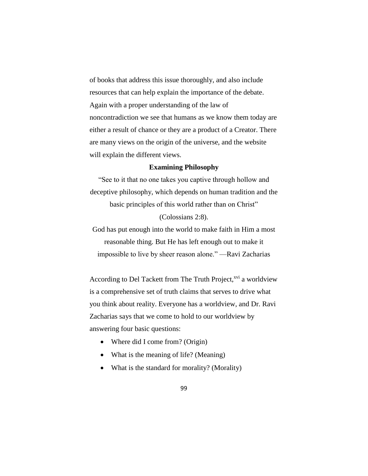of books that address this issue thoroughly, and also include resources that can help explain the importance of the debate. Again with a proper understanding of the law of noncontradiction we see that humans as we know them today are either a result of chance or they are a product of a Creator. There are many views on the origin of the universe, and the website will explain the different views.

## **Examining Philosophy**

"See to it that no one takes you captive through hollow and deceptive philosophy, which depends on human tradition and the basic principles of this world rather than on Christ" (Colossians 2:8).

God has put enough into the world to make faith in Him a most reasonable thing. But He has left enough out to make it impossible to live by sheer reason alone." —Ravi Zacharias

According to Del Tackett from The Truth Project,<sup>xvi</sup> a worldview is a comprehensive set of truth claims that serves to drive what you think about reality. Everyone has a worldview, and Dr. Ravi Zacharias says that we come to hold to our worldview by answering four basic questions:

- Where did I come from? (Origin)
- What is the meaning of life? (Meaning)
- What is the standard for morality? (Morality)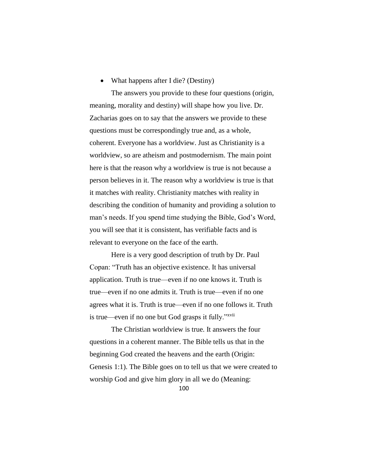# • What happens after I die? (Destiny)

The answers you provide to these four questions (origin, meaning, morality and destiny) will shape how you live. Dr. Zacharias goes on to say that the answers we provide to these questions must be correspondingly true and, as a whole, coherent. Everyone has a worldview. Just as Christianity is a worldview, so are atheism and postmodernism. The main point here is that the reason why a worldview is true is not because a person believes in it. The reason why a worldview is true is that it matches with reality. Christianity matches with reality in describing the condition of humanity and providing a solution to man's needs. If you spend time studying the Bible, God's Word, you will see that it is consistent, has verifiable facts and is relevant to everyone on the face of the earth.

Here is a very good description of truth by Dr. Paul Copan: "Truth has an objective existence. It has universal application. Truth is true—even if no one knows it. Truth is true—even if no one admits it. Truth is true—even if no one agrees what it is. Truth is true—even if no one follows it. Truth is true—even if no one but God grasps it fully."xvii

The Christian worldview is true. It answers the four questions in a coherent manner. The Bible tells us that in the beginning God created the heavens and the earth (Origin: Genesis 1:1). The Bible goes on to tell us that we were created to worship God and give him glory in all we do (Meaning: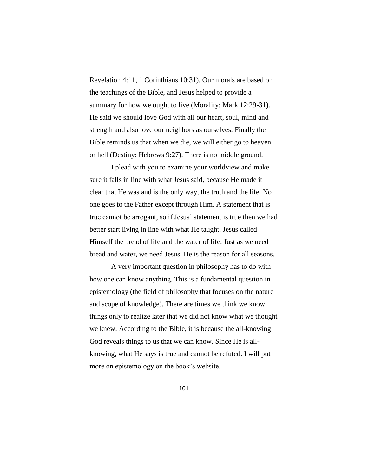Revelation 4:11, 1 Corinthians 10:31). Our morals are based on the teachings of the Bible, and Jesus helped to provide a summary for how we ought to live (Morality: Mark 12:29-31). He said we should love God with all our heart, soul, mind and strength and also love our neighbors as ourselves. Finally the Bible reminds us that when we die, we will either go to heaven or hell (Destiny: Hebrews 9:27). There is no middle ground.

I plead with you to examine your worldview and make sure it falls in line with what Jesus said, because He made it clear that He was and is the only way, the truth and the life. No one goes to the Father except through Him. A statement that is true cannot be arrogant, so if Jesus' statement is true then we had better start living in line with what He taught. Jesus called Himself the bread of life and the water of life. Just as we need bread and water, we need Jesus. He is the reason for all seasons.

A very important question in philosophy has to do with how one can know anything. This is a fundamental question in epistemology (the field of philosophy that focuses on the nature and scope of knowledge). There are times we think we know things only to realize later that we did not know what we thought we knew. According to the Bible, it is because the all-knowing God reveals things to us that we can know. Since He is allknowing, what He says is true and cannot be refuted. I will put more on epistemology on the book's website.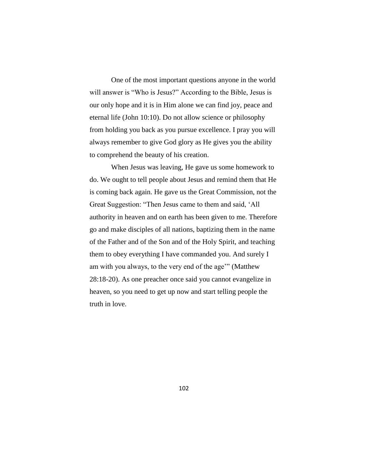One of the most important questions anyone in the world will answer is "Who is Jesus?" According to the Bible, Jesus is our only hope and it is in Him alone we can find joy, peace and eternal life (John 10:10). Do not allow science or philosophy from holding you back as you pursue excellence. I pray you will always remember to give God glory as He gives you the ability to comprehend the beauty of his creation.

When Jesus was leaving, He gave us some homework to do. We ought to tell people about Jesus and remind them that He is coming back again. He gave us the Great Commission, not the Great Suggestion: "Then Jesus came to them and said, 'All authority in heaven and on earth has been given to me. Therefore go and make disciples of all nations, baptizing them in the name of the Father and of the Son and of the Holy Spirit, and teaching them to obey everything I have commanded you. And surely I am with you always, to the very end of the age'" (Matthew 28:18-20). As one preacher once said you cannot evangelize in heaven, so you need to get up now and start telling people the truth in love.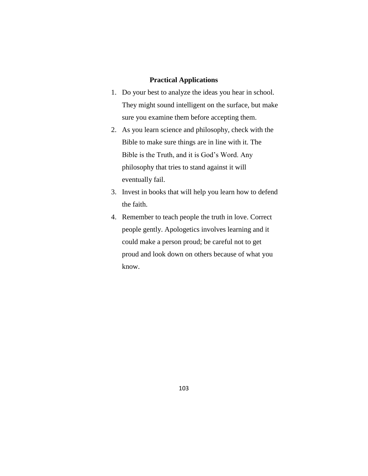# **Practical Applications**

- 1. Do your best to analyze the ideas you hear in school. They might sound intelligent on the surface, but make sure you examine them before accepting them.
- 2. As you learn science and philosophy, check with the Bible to make sure things are in line with it. The Bible is the Truth, and it is God's Word. Any philosophy that tries to stand against it will eventually fail.
- 3. Invest in books that will help you learn how to defend the faith.
- 4. Remember to teach people the truth in love. Correct people gently. Apologetics involves learning and it could make a person proud; be careful not to get proud and look down on others because of what you know.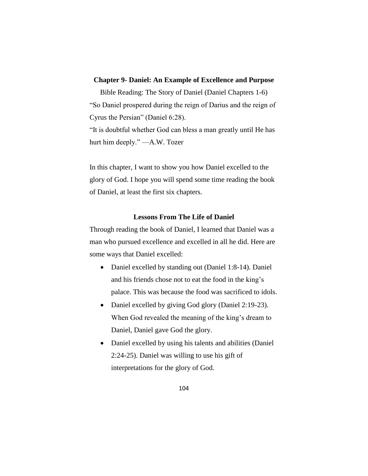# **Chapter 9- Daniel: An Example of Excellence and Purpose**

Bible Reading: The Story of Daniel (Daniel Chapters 1-6) "So Daniel prospered during the reign of Darius and the reign of Cyrus the Persian" (Daniel 6:28).

"It is doubtful whether God can bless a man greatly until He has hurt him deeply." —A.W. Tozer

In this chapter, I want to show you how Daniel excelled to the glory of God. I hope you will spend some time reading the book of Daniel, at least the first six chapters.

#### **Lessons From The Life of Daniel**

Through reading the book of Daniel, I learned that Daniel was a man who pursued excellence and excelled in all he did. Here are some ways that Daniel excelled:

- Daniel excelled by standing out (Daniel 1:8-14). Daniel and his friends chose not to eat the food in the king's palace. This was because the food was sacrificed to idols.
- Daniel excelled by giving God glory (Daniel 2:19-23). When God revealed the meaning of the king's dream to Daniel, Daniel gave God the glory.
- Daniel excelled by using his talents and abilities (Daniel 2:24-25). Daniel was willing to use his gift of interpretations for the glory of God.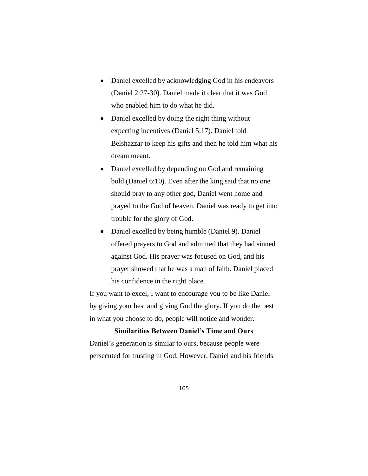- Daniel excelled by acknowledging God in his endeavors (Daniel 2:27-30). Daniel made it clear that it was God who enabled him to do what he did.
- Daniel excelled by doing the right thing without expecting incentives (Daniel 5:17). Daniel told Belshazzar to keep his gifts and then he told him what his dream meant.
- Daniel excelled by depending on God and remaining bold (Daniel 6:10). Even after the king said that no one should pray to any other god, Daniel went home and prayed to the God of heaven. Daniel was ready to get into trouble for the glory of God.
- Daniel excelled by being humble (Daniel 9). Daniel offered prayers to God and admitted that they had sinned against God. His prayer was focused on God, and his prayer showed that he was a man of faith. Daniel placed his confidence in the right place.

If you want to excel, I want to encourage you to be like Daniel by giving your best and giving God the glory. If you do the best in what you choose to do, people will notice and wonder.

# **Similarities Between Daniel's Time and Ours**

Daniel's generation is similar to ours, because people were persecuted for trusting in God. However, Daniel and his friends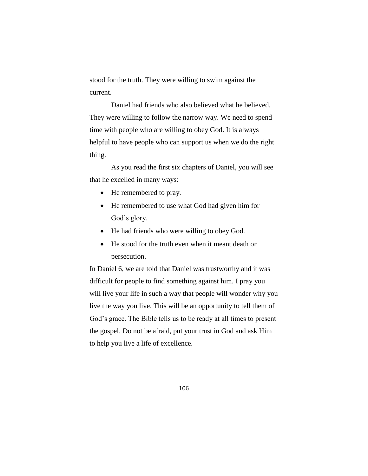stood for the truth. They were willing to swim against the current.

Daniel had friends who also believed what he believed. They were willing to follow the narrow way. We need to spend time with people who are willing to obey God. It is always helpful to have people who can support us when we do the right thing.

As you read the first six chapters of Daniel, you will see that he excelled in many ways:

- He remembered to pray.
- He remembered to use what God had given him for God's glory.
- He had friends who were willing to obey God.
- He stood for the truth even when it meant death or persecution.

In Daniel 6, we are told that Daniel was trustworthy and it was difficult for people to find something against him. I pray you will live your life in such a way that people will wonder why you live the way you live. This will be an opportunity to tell them of God's grace. The Bible tells us to be ready at all times to present the gospel. Do not be afraid, put your trust in God and ask Him to help you live a life of excellence.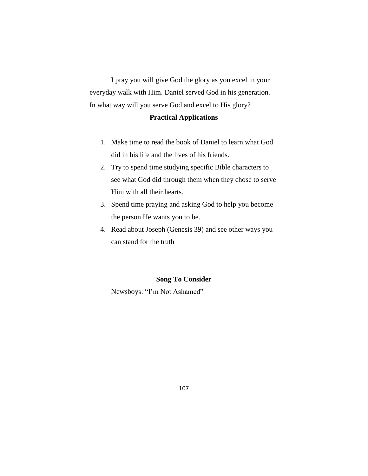I pray you will give God the glory as you excel in your everyday walk with Him. Daniel served God in his generation. In what way will you serve God and excel to His glory?

## **Practical Applications**

- 1. Make time to read the book of Daniel to learn what God did in his life and the lives of his friends.
- 2. Try to spend time studying specific Bible characters to see what God did through them when they chose to serve Him with all their hearts.
- 3. Spend time praying and asking God to help you become the person He wants you to be.
- 4. Read about Joseph (Genesis 39) and see other ways you can stand for the truth

## **Song To Consider**

Newsboys: "I'm Not Ashamed"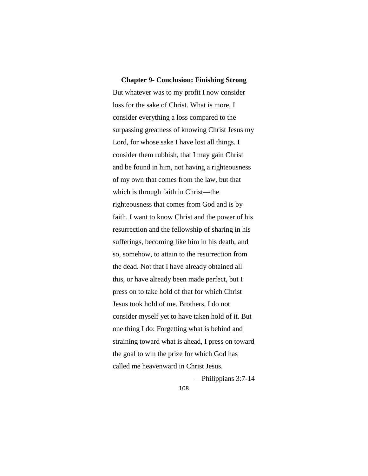**Chapter 9- Conclusion: Finishing Strong** But whatever was to my profit I now consider loss for the sake of Christ. What is more, I consider everything a loss compared to the surpassing greatness of knowing Christ Jesus my Lord, for whose sake I have lost all things. I consider them rubbish, that I may gain Christ and be found in him, not having a righteousness of my own that comes from the law, but that which is through faith in Christ—the righteousness that comes from God and is by faith. I want to know Christ and the power of his resurrection and the fellowship of sharing in his sufferings, becoming like him in his death, and so, somehow, to attain to the resurrection from the dead. Not that I have already obtained all this, or have already been made perfect, but I press on to take hold of that for which Christ Jesus took hold of me. Brothers, I do not consider myself yet to have taken hold of it. But one thing I do: Forgetting what is behind and straining toward what is ahead, I press on toward the goal to win the prize for which God has called me heavenward in Christ Jesus.

—Philippians 3:7-14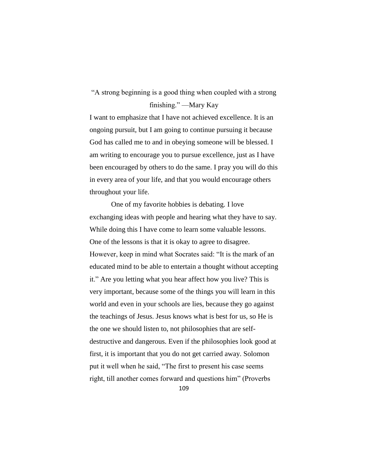"A strong beginning is a good thing when coupled with a strong finishing." —Mary Kay

I want to emphasize that I have not achieved excellence. It is an ongoing pursuit, but I am going to continue pursuing it because God has called me to and in obeying someone will be blessed. I am writing to encourage you to pursue excellence, just as I have been encouraged by others to do the same. I pray you will do this in every area of your life, and that you would encourage others throughout your life.

One of my favorite hobbies is debating. I love exchanging ideas with people and hearing what they have to say. While doing this I have come to learn some valuable lessons. One of the lessons is that it is okay to agree to disagree. However, keep in mind what Socrates said: "It is the mark of an educated mind to be able to entertain a thought without accepting it." Are you letting what you hear affect how you live? This is very important, because some of the things you will learn in this world and even in your schools are lies, because they go against the teachings of Jesus. Jesus knows what is best for us, so He is the one we should listen to, not philosophies that are selfdestructive and dangerous. Even if the philosophies look good at first, it is important that you do not get carried away. Solomon put it well when he said, "The first to present his case seems right, till another comes forward and questions him" (Proverbs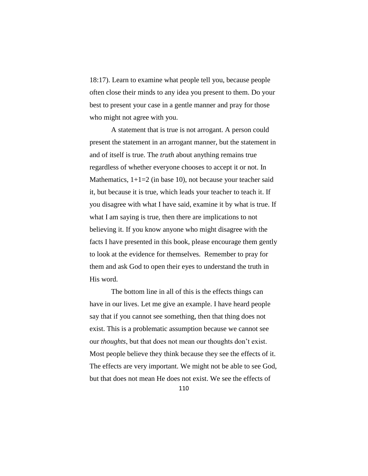18:17). Learn to examine what people tell you, because people often close their minds to any idea you present to them. Do your best to present your case in a gentle manner and pray for those who might not agree with you.

A statement that is true is not arrogant. A person could present the statement in an arrogant manner, but the statement in and of itself is true. The *truth* about anything remains true regardless of whether everyone chooses to accept it or not. In Mathematics,  $1+1=2$  (in base 10), not because your teacher said it, but because it is true, which leads your teacher to teach it. If you disagree with what I have said, examine it by what is true. If what I am saying is true, then there are implications to not believing it. If you know anyone who might disagree with the facts I have presented in this book, please encourage them gently to look at the evidence for themselves. Remember to pray for them and ask God to open their eyes to understand the truth in His word.

The bottom line in all of this is the effects things can have in our lives. Let me give an example. I have heard people say that if you cannot see something, then that thing does not exist. This is a problematic assumption because we cannot see our *thoughts*, but that does not mean our thoughts don't exist. Most people believe they think because they see the effects of it. The effects are very important. We might not be able to see God, but that does not mean He does not exist. We see the effects of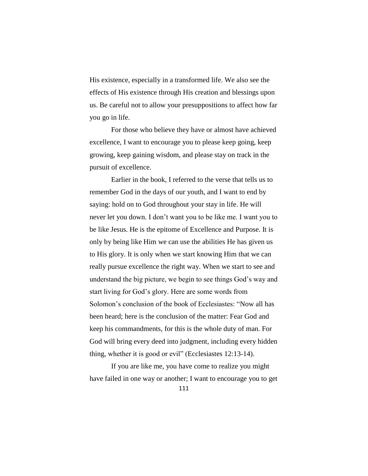His existence, especially in a transformed life. We also see the effects of His existence through His creation and blessings upon us. Be careful not to allow your presuppositions to affect how far you go in life.

For those who believe they have or almost have achieved excellence, I want to encourage you to please keep going, keep growing, keep gaining wisdom, and please stay on track in the pursuit of excellence.

Earlier in the book, I referred to the verse that tells us to remember God in the days of our youth, and I want to end by saying: hold on to God throughout your stay in life. He will never let you down. I don't want you to be like me. I want you to be like Jesus. He is the epitome of Excellence and Purpose. It is only by being like Him we can use the abilities He has given us to His glory. It is only when we start knowing Him that we can really pursue excellence the right way. When we start to see and understand the big picture, we begin to see things God's way and start living for God's glory. Here are some words from Solomon's conclusion of the book of Ecclesiastes: "Now all has been heard; here is the conclusion of the matter: Fear God and keep his commandments, for this is the whole duty of man. For God will bring every deed into judgment, including every hidden thing, whether it is good or evil" (Ecclesiastes 12:13-14).

If you are like me, you have come to realize you might have failed in one way or another; I want to encourage you to get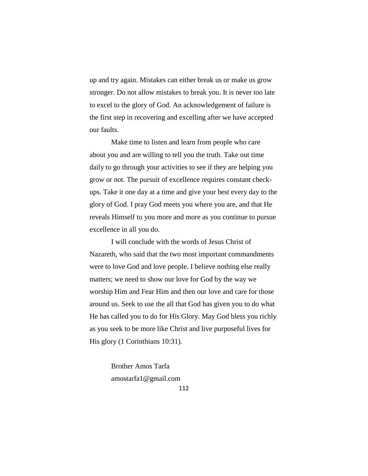up and try again. Mistakes can either break us or make us grow stronger. Do not allow mistakes to break you. It is never too late to excel to the glory of God. An acknowledgement of failure is the first step in recovering and excelling after we have accepted our faults.

Make time to listen and learn from people who care about you and are willing to tell you the truth. Take out time daily to go through your activities to see if they are helping you grow or not. The pursuit of excellence requires constant checkups. Take it one day at a time and give your best every day to the glory of God. I pray God meets you where you are, and that He reveals Himself to you more and more as you continue to pursue excellence in all you do.

I will conclude with the words of Jesus Christ of Nazareth, who said that the two most important commandments were to love God and love people. I believe nothing else really matters; we need to show our love for God by the way we worship Him and Fear Him and then our love and care for those around us. Seek to use the all that God has given you to do what He has called you to do for His Glory. May God bless you richly as you seek to be more like Christ and live purposeful lives for His glory (1 Corinthians 10:31).

> Brother Amos Tarfa amostarfa1@gmail.com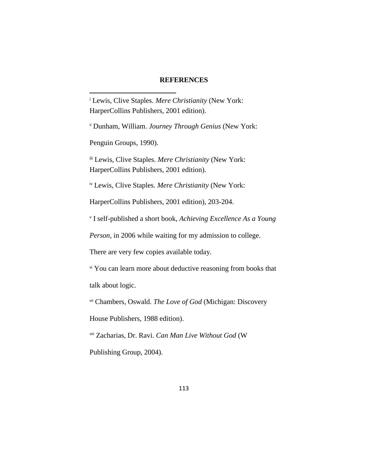## **REFERENCES**

<sup>i</sup> Lewis, Clive Staples. *Mere Christianity* (New York: HarperCollins Publishers, 2001 edition).

ii Dunham, William. *Journey Through Genius* (New York:

Penguin Groups, 1990).

 $\overline{a}$ 

iii Lewis, Clive Staples. *Mere Christianity* (New York: HarperCollins Publishers, 2001 edition).

iv Lewis, Clive Staples. *Mere Christianity* (New York:

HarperCollins Publishers, 2001 edition), 203-204.

v I self-published a short book, *Achieving Excellence As a Young* 

*Person*, in 2006 while waiting for my admission to college.

There are very few copies available today.

vi You can learn more about deductive reasoning from books that

talk about logic.

vii Chambers, Oswald. *The Love of God* (Michigan: Discovery

House Publishers, 1988 edition).

viii Zacharias, Dr. Ravi. *Can Man Live Without God* (W

Publishing Group, 2004).